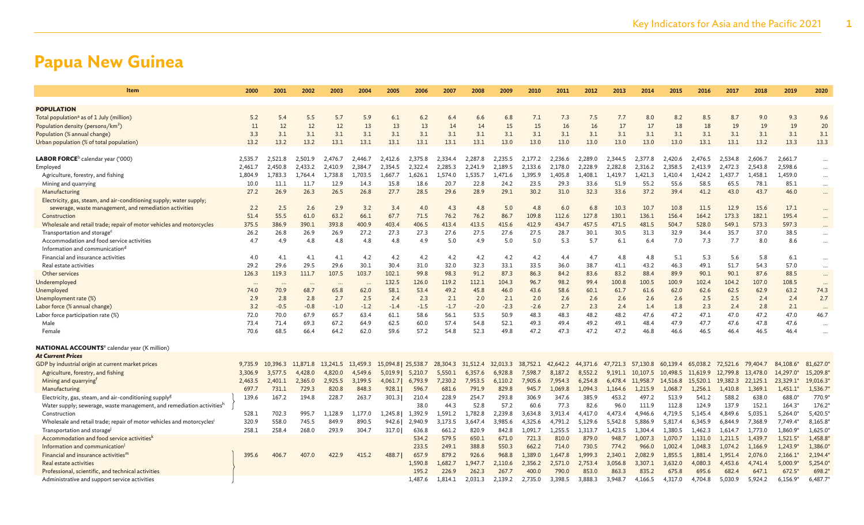| Item                                                                  | 2000     | 2001     | 2002                 | 2003     | 2004      | 2005                | 2006    | 2007     | 2008     | 2009     | 2010     | 2011     | 2012     | 2013     | 2014     | 2015     | 2016     | 2017     | 2018     | 2019       | 2020     |
|-----------------------------------------------------------------------|----------|----------|----------------------|----------|-----------|---------------------|---------|----------|----------|----------|----------|----------|----------|----------|----------|----------|----------|----------|----------|------------|----------|
|                                                                       |          |          |                      |          |           |                     |         |          |          |          |          |          |          |          |          |          |          |          |          |            |          |
| <b>POPULATION</b>                                                     |          |          |                      |          |           |                     |         |          |          |          |          |          |          |          |          |          |          |          |          |            |          |
| Total population <sup>a</sup> as of 1 July (million)                  | 5.2      | 5.4      | 5.5                  | 5.7      | 5.9       | 6.1                 | 6.2     | 6.4      | 6.6      | 6.8      | 7.1      | 7.3      | 7.5      | 7.7      | 8.0      | 8.2      | 8.5      | 8.7      | 9.0      | 9.3        | 9.6      |
| Population density (persons/km <sup>2</sup> )                         | 11       | 12       | 12                   | 12       | 13        | 13                  | 13      | 14       | 14       | 15       | 15       | 16       | 16       | 17       | 17       | 18       | 18       | 19       | 19       | 19         | 20       |
| Population (% annual change)                                          | 3.3      | 3.1      | 3.1                  | 3.1      | 3.1       | 3.1                 | 3.1     | 3.1      | 3.1      | 3.1      | 3.1      | 3.1      | 3.1      | 3.1      | 3.1      | 3.1      | 3.1      | 3.1      | 3.1      | 3.1        | 3.1      |
| Urban population (% of total population)                              | 13.2     | 13.2     | 13.2                 | 13.1     | 13.1      | 13.1                | 13.1    | 13.1     | 13.1     | 13.0     | 13.0     | 13.0     | 13.0     | 13.0     | 13.0     | 13.0     | 13.1     | 13.1     | 13.2     | 13.3       | 13.3     |
| LABOR FORCE <sup>b</sup> calendar year ('000)                         | 2.535.7  | 2.521.8  | 2.501.9              | 2.476.7  | 2.446.7   | 2.412.6             | 2.375.8 | 2.334.4  | 2.287.8  | 2.235.5  | 2.177.2  | 2.236.6  | 2.289.0  | 2.344.5  | 2.377.8  | 2.420.6  | 2.476.5  | 2.534.8  | 2.606.7  | 2.661.7    | $\cdots$ |
| Employed                                                              | 2.461.7  | 2.450.8  | 2.433.2              | 2.410.9  | 2.384.7   | 2.354.5             | 2.322.4 | 2.285.3  | 2.241.9  | 2.189.5  | 2.133.6  | 2.178.0  | 2,228.9  | 2,282.8  | 2.316.2  | 2.358.5  | 2.413.9  | 2.472.3  | 2.543.8  | 2,598.6    | $\cdots$ |
| Agriculture, forestry, and fishing                                    | 1.804.9  | 1,783.3  | 1.764.4              | 1.738.8  | 1,703.5   | 1,667.7             | 1.626.1 | 1,574.0  | 1,535.7  | 1.471.6  | 1,395.9  | 1,405.8  | 1,408.1  | 1,419.7  | 1,421.3  | 1,410.4  | 1,424.2  | 1.437.7  | 1,458.1  | 1,459.0    | $\cdots$ |
| Mining and quarrying                                                  | 10.0     | 11.1     | 11.7                 | 12.9     | 14.3      | 15.8                | 18.6    | 20.7     | 22.8     | 24.2     | 23.5     | 29.3     | 33.6     | 51.9     | 55.2     | 55.6     | 58.5     | 65.5     | 78.1     | 85.1       | $\cdots$ |
| Manufacturing                                                         | 27.2     | 26.9     | 26.3                 | 26.5     | 26.8      | 27.7                | 28.5    | 29.6     | 28.9     | 29.1     | 30.2     | 31.0     | 32.3     | 33.6     | 37.2     | 39.4     | 41.2     | 43.0     | 43.7     | 46.0       | $\cdots$ |
| Electricity, gas, steam, and air-conditioning supply; water supply;   |          |          |                      |          |           |                     |         |          |          |          |          |          |          |          |          |          |          |          |          |            |          |
| sewerage, waste management, and remediation activities                | 2.2      | 2.5      | 2.6                  | 2.9      | 3.2       | 3.4                 | 4.0     | 4.3      | 4.8      | 5.0      | 4.8      | 6.0      | 6.8      | 10.3     | 10.7     | 10.8     | 11.5     | 12.9     | 15.6     | 17.1       | $\cdots$ |
| Construction                                                          | 51.4     | 55.5     | 61.0                 | 63.2     | 66.1      | 67.7                | 71.5    | 76.2     | 76.2     | 86.7     | 109.8    | 112.6    | 127.8    | 130.1    | 136.1    | 156.4    | 164.2    | 173.3    | 182.1    | 195.4      | $\cdots$ |
| Wholesale and retail trade; repair of motor vehicles and motorcycles  | 375.5    | 386.9    | 390.1                | 393.8    | 400.9     | 403.4               | 406.5   | 413.4    | 413.5    | 415.6    | 412.9    | 434.7    | 457.5    | 471.5    | 481.5    | 504.7    | 528.0    | 549.1    | 573.3    | 597.3      |          |
| Transportation and storage <sup>c</sup>                               | 26.2     | 26.8     | 26.9                 | 26.9     | 27.2      | 27.3                | 27.3    | 27.6     | 27.5     | 27.6     | 27.5     | 28.7     | 30.1     | 30.5     | 31.3     | 32.9     | 34.4     | 35.7     | 37.0     | 38.5       | $\cdots$ |
| Accommodation and food service activities                             | 4.7      | 4.9      | 4.8                  | 4.8      | 4.8       | 4.8                 | 4.9     | 5.0      | 4.9      | 5.0      | 5.0      | 5.3      | 5.7      | 6.1      | 6.4      | 7.0      | 7.3      | 7.7      | 8.0      | 8.6        | $\cdots$ |
| Information and communication <sup>d</sup>                            |          |          |                      |          |           |                     |         |          |          |          |          |          |          |          |          |          |          |          |          |            |          |
| Financial and insurance activities                                    | 4.0      | 4.1      | 4.1                  | 4.1      | 4.2       | 4.2                 | 4.2     | 4.2      | 4.2      | 4.2      | 4.2      | 4.4      | 4.7      | 4.8      | 4.8      | 5.1      | 5.3      | 5.6      | 5.8      | 6.1        | $\cdots$ |
| Real estate activities                                                | 29.2     | 29.6     | 29.5                 | 29.6     | 30.1      | 30.4                | 31.0    | 32.0     | 32.3     | 33.1     | 33.5     | 36.0     | 38.7     | 41.1     | 43.2     | 46.3     | 49.1     | 51.7     | 54.3     | 57.0       | $\cdots$ |
| Other services                                                        | 126.3    | 119.3    | 111.7                | 107.5    | 103.7     | 102.1               | 99.8    | 98.3     | 91.2     | 87.3     | 86.3     | 84.2     | 83.6     | 83.2     | 88.4     | 89.9     | 90.1     | 90.1     | 87.6     | 88.5       | $\cdots$ |
| Underemployed                                                         | $\cdots$ | $\cdots$ | $\ddot{\phantom{a}}$ | $\cdots$ | $\ddotsc$ | 132.5               | 126.0   | 119.2    | 112.1    | 104.3    | 96.7     | 98.2     | 99.4     | 100.8    | 100.5    | 100.9    | 102.4    | 104.2    | 107.0    | 108.5      | $\cdots$ |
| Unemployed                                                            | 74.0     | 70.9     | 68.7                 | 65.8     | 62.0      | 58.1                | 53.4    | 49.2     | 45.8     | 46.0     | 43.6     | 58.6     | 60.1     | 61.7     | 61.6     | 62.0     | 62.6     | 62.5     | 62.9     | 63.2       | 74.3     |
| Unemployment rate (%)                                                 | 2.9      | 2.8      | 2.8                  | 2.7      | 2.5       | 2.4                 | 2.3     | 2.1      | 2.0      | 2.1      | 2.0      | 2.6      | 2.6      | 2.6      | 2.6      | 2.6      | 2.5      | 2.5      | 2.4      | 2.4        | 2.7      |
| Labor force (% annual change)                                         | 3.2      | $-0.5$   | $-0.8$               | $-1.0$   | $-1.2$    | $-1.4$              | $-1.5$  | $-1.7$   | $-2.0$   | $-2.3$   | $-2.6$   | 2.7      | 2.3      | 2.4      | 1.4      | 1.8      | 2.3      | 2.4      | 2.8      | 2.1        | $\cdots$ |
| Labor force participation rate (%)                                    | 72.0     | 70.0     | 67.9                 | 65.7     | 63.4      | 61.1                | 58.6    | 56.1     | 53.5     | 50.9     | 48.3     | 48.3     | 48.2     | 48.2     | 47.6     | 47.2     | 47.1     | 47.0     | 47.2     | 47.0       | 46.7     |
| Male                                                                  | 73.4     | 71.4     | 69.3                 | 67.2     | 64.9      | 62.5                | 60.0    | 57.4     | 54.8     | 52.1     | 49.3     | 49.4     | 49.2     | 49.1     | 48.4     | 47.9     | 47.7     | 47.6     | 47.8     | 47.6       | $\cdots$ |
| Female                                                                | 70.6     | 68.5     | 66.4                 | 64.2     | 62.0      | 59.6                | 57.2    | 54.8     | 52.3     | 49.8     | 47.2     | 47.3     | 47.2     | 47.2     | 46.8     | 46.6     | 46.5     | 46.4     | 46.5     | 46.4       |          |
| <b>NATIONAL ACCOUNTS<sup>e</sup> calendar year (K million)</b>        |          |          |                      |          |           |                     |         |          |          |          |          |          |          |          |          |          |          |          |          |            |          |
| <b>At Current Prices</b>                                              |          |          |                      |          |           |                     |         |          |          |          |          |          |          |          |          |          |          |          |          |            |          |
| GDP by industrial origin at current market prices                     | 9.735.9  | 10,396.3 | 11.871.8             | 13,241.5 | 13,459.3  | 15,094.8   25,538.7 |         | 28,304.3 | 31,512.4 | 32,013.3 | 38.752.1 | 42,642.2 | 44,371.6 | 47,721.3 | 57,130.8 | 60.139.4 | 65,038.2 | 72.521.6 | 79,404.7 | 84,108.6*  | 81,627.0 |
| Agriculture, forestry, and fishing                                    | 3,306.9  | 3,577.5  | 4,428.0              | 4,820.0  | 4,549.6   | 5,019.9             | 5,210.7 | 5,550.1  | 6,357.6  | 6,928.8  | 7,598.7  | 8,187.2  | 8,552.2  | 9,191.1  | 10,107.5 | 10,498.5 | 11,619.9 | 12,799.8 | 13,478.0 | 14,297.0   | 15,209.8 |
| Mining and quarrying <sup>f</sup>                                     | 2,463.5  | 2,401.1  | 2,365.0              | 2,925.5  | 3,199.5   | 4,061.7             | 6,793.9 | 7,230.2  | 7,953.5  | 6,110.2  | 7,905.6  | 7,954.3  | 6,254.8  | 6,478.4  | 11,958.7 | 14,516.8 | 15,520.1 | 19,382.3 | 22,125.1 | 23,329.1*  | 19,016.3 |
| Manufacturing                                                         | 697.7    | 731.1    | 729.3                | 820.8    | 848.3     | 928.1               | 596.7   | 681.6    | 791.9    | 829.8    | 945.7    | 1.069.8  | 1,094.3  | 1.164.6  | 1.215.9  | 1.068.7  | 1.256.1  | 1,410.8  | 1.369.1  | $1.451.1*$ | 1,536.7  |
| Electricity, gas, steam, and air-conditioning supply <sup>g</sup>     | 139.6    | 167.2    | 194.8                | 228.7    | 263.7     | 301.3               | 210.4   | 228.9    | 254.7    | 293.8    | 306.9    | 347.6    | 385.9    | 453.2    | 497.2    | 513.9    | 541.2    | 588.2    | 638.0    | 688.0*     | 770.9°   |
| Water supply; sewerage, waste management, and remediation activitiesh |          |          |                      |          |           |                     | 38.0    | 44.3     | 52.8     | 57.2     | 60.6     | 77.3     | 82.6     | 96.0     | 111.9    | 112.8    | 124.9    | 137.9    | 152.1    | $164.3*$   | 176.2    |
| Construction                                                          | 528.1    | 702.3    | 995.7                | 1,128.9  | 1,177.0   | 1,245.8             | 1,392.9 | 1,591.2  | 1,782.8  | 2,239.8  | 3,634.8  | 3,913.4  | 4,417.0  | 4,473.4  | 4,946.6  | 4,719.5  | 5,145.4  | 4,849.6  | 5,035.1  | $5,264.0*$ | 5,420.5  |
| Wholesale and retail trade; repair of motor vehicles and motorcycles' | 320.9    | 558.0    | 745.5                | 849.9    | 890.5     | 942.6               | 2,940.9 | 3,173.5  | 3,647.4  | 3,985.6  | 4,325.6  | 4,791.2  | 5,129.6  | 5,542.8  | 5,886.9  | 5,817.4  | 6,345.9  | 6,844.9  | 7,368.9  | 7,749.4*   | 8,165.8  |
| Transportation and storage                                            | 258.1    | 258.4    | 268.0                | 293.9    | 304.7     | 317.0               | 636.8   | 661.2    | 820.9    | 842.8    | 1,091.7  | 1,255.5  | 1.313.7  | 1,423.5  | 1.304.4  | 1.380.5  | 1,462.3  | 1,614.7  | 1,773.0  | 1,860.9*   | 1,625.0  |
| Accommodation and food service activitiesk                            |          |          |                      |          |           |                     | 534.2   | 579.5    | 650.1    | 671.0    | 721.3    | 810.0    | 879.0    | 948.7    | 1.007.3  | 1.070.7  | 1,131.0  | 1.211.5  | 1.439.7  | $1,521.5*$ | 1,458.8  |
| Information and communication                                         |          |          |                      |          |           |                     | 233.5   | 249.1    | 388.8    | 550.3    | 662.2    | 714.0    | 730.5    | 774.2    | 966.0    | 1,002.4  | 1,048.3  | 1,074.2  | 1,166.9  | 1,243.9    | 1,386.0  |
| Financial and insurance activities <sup>"</sup>                       | 395.6    | 406.7    | 407.0                | 422.9    | 415.2     | 488.7               | 657.9   | 879.2    | 926.6    | 968.8    | 1,389.0  | 1,647.8  | 1,999.3  | 2,340.1  | 2,082.9  | 1,855.5  | 1,881.4  | 1,951.4  | 2,076.0  | $2,166.1*$ | 2,194.4  |
| Real estate activities                                                |          |          |                      |          |           |                     | 1,590.8 | 1,682.7  | 1.947.7  | 2,110.6  | 2,356.2  | 2,571.0  | 2,753.4  | 3,056.8  | 3,307.1  | 3.632.0  | 4,080.3  | 4.453.6  | 4,741.4  | 5,000.9    | 5,254.0  |
| Professional, scientific, and technical activities                    |          |          |                      |          |           |                     | 195.2   | 226.9    | 262.3    | 267.7    | 400.0    | 790.0    | 853.0    | 863.3    | 835.2    | 675.8    | 695.6    | 682.4    | 647.1    | $672.5*$   | 698.2    |
| Administrative and support service activities                         |          |          |                      |          |           |                     | 1,487.6 | 1.814.1  | 2,031.3  | 2,139.2  | 2,735.0  | 3,398.5  | 3,888.3  | 3,948.7  | 4,166.5  | 4.317.0  | 4,704.8  | 5,030.9  | 5,924.2  | 6,156.9*   | 6,487.7  |
|                                                                       |          |          |                      |          |           |                     |         |          |          |          |          |          |          |          |          |          |          |          |          |            |          |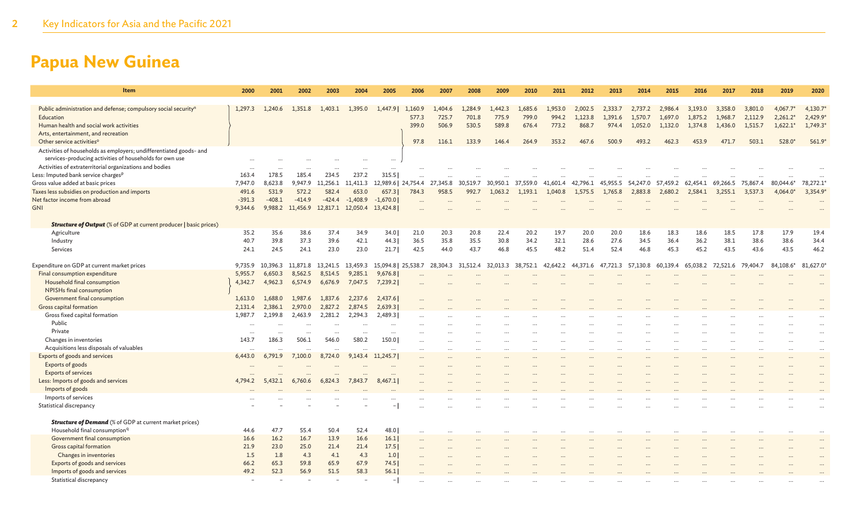| Item                                                                       | 2000      | 2001     | 2002                      | 2003     | 2004       | 2005                | 2006     | 2007     | 2008      | 2009     | 2010     | 2011     | 2012     | 2013     | 2014     | 2015      | 2016     | 2017     | 2018     | 2019       | 2020      |
|----------------------------------------------------------------------------|-----------|----------|---------------------------|----------|------------|---------------------|----------|----------|-----------|----------|----------|----------|----------|----------|----------|-----------|----------|----------|----------|------------|-----------|
| Public administration and defense; compulsory social security <sup>n</sup> | 1,297.3   | 1,240.6  | 1,351.8                   | 1,403.1  | 1,395.0    | 1,447.9             | 1,160.9  | 1,404.6  | 1,284.9   | 1,442.3  | 1,685.6  | 1,953.0  | 2,002.5  | 2,333.7  | 2,737.2  | 2,986.4   | 3,193.0  | 3,358.0  | 3,801.0  | $4,067.7*$ | 4,130.7   |
| Education                                                                  |           |          |                           |          |            |                     | 577.3    | 725.7    | 701.8     | 775.9    | 799.0    | 994.2    | 1,123.8  | 1,391.6  | 1,570.7  | 1,697.0   | 1,875.2  | 1,968.7  | 2,112.9  | $2,261.2*$ | 2,429.9   |
| Human health and social work activities                                    |           |          |                           |          |            |                     | 399.0    | 506.9    | 530.5     | 589.8    | 676.4    | 773.2    | 868.7    | 974.4    | 1,052.0  | 1,132.0   | 1,374.8  | 1,436.0  | 1,515.7  | $1,622.1*$ | 1,749.3   |
| Arts, entertainment, and recreation                                        |           |          |                           |          |            |                     |          |          |           |          |          |          |          |          |          |           |          |          |          |            |           |
| Other service activities <sup>o</sup>                                      |           |          |                           |          |            |                     | 97.8     | 116.1    | 133.9     | 146.4    | 264.9    | 353.2    | 467.6    | 500.9    | 493.2    | 462.3     | 453.9    | 471.7    | 503.1    | 528.0*     | 561.9     |
| Activities of households as employers; undifferentiated goods- and         |           |          |                           |          |            |                     |          |          |           |          |          |          |          |          |          |           |          |          |          |            |           |
| services-producing activities of households for own use                    |           |          |                           |          |            |                     |          |          |           |          |          |          |          |          |          |           |          |          |          |            |           |
| Activities of extraterritorial organizations and bodies                    |           |          |                           |          |            |                     |          |          |           |          |          |          |          |          |          |           |          |          |          |            |           |
| Less: Imputed bank service charges <sup>p</sup>                            | 163.4     | 178.5    | 185.4                     | 234.5    | 237.2      | 315.5               |          |          |           |          |          |          |          |          |          |           |          |          |          |            |           |
| Gross value added at basic prices                                          | 7,947.0   | 8,623.8  | 9,947.9                   | 11,256.1 | 11,411.3   | 12,989.6   24,754.4 |          | 27,345.8 | 30,519.7  | 30,950.1 | 37,559.0 | 41,601.4 | 42,796.1 | 45,955.5 | 54,247.0 | 57,459.2  | 62,454.1 | 69,266.5 | 75,867.4 | 80,044.6*  | 78,272.1  |
| Taxes less subsidies on production and imports                             | 491.6     | 531.9    | 572.2                     | 582.4    | 653.0      | 657.3               | 784.3    | 958.5    | 992.7     | 1,063.2  | 1,193.1  | 1,040.8  | 1,575.5  | 1,765.8  | 2,883.8  | 2,680.2   | 2,584.1  | 3.255.1  | 3,537.3  | $4.064.0*$ | 3,354.9   |
| Net factor income from abroad                                              | $-391.3$  | $-408.1$ | $-414.9$                  | $-424.4$ | $-1,408.9$ | $-1,670.0$          |          |          |           |          |          |          |          |          |          |           |          |          |          |            |           |
| <b>GNI</b>                                                                 | 9,344.6   |          | 9,988.2 11,456.9 12,817.1 |          | 12,050.4   | 13,424.8            |          |          |           |          |          |          |          |          |          |           |          |          |          |            |           |
|                                                                            |           |          |                           |          |            |                     |          |          |           |          |          |          |          |          |          |           |          |          |          |            |           |
| <b>Structure of Output</b> (% of GDP at current producer   basic prices)   |           |          |                           |          |            |                     |          |          |           |          |          |          |          |          |          |           |          |          |          |            |           |
| Agriculture                                                                | 35.2      | 35.6     | 38.6                      | 37.4     | 34.9       | 34.0                | 21.0     | 20.3     | 20.8      | 22.4     | 20.2     | 19.7     | 20.0     | 20.0     | 18.6     | 18.3      | 18.6     | 18.5     | 17.8     | 17.9       | 19.4      |
| Industry                                                                   | 40.7      | 39.8     | 37.3                      | 39.6     | 42.1       | 44.3                | 36.5     | 35.8     | 35.5      | 30.8     | 34.2     | 32.1     | 28.6     | 27.6     | 34.5     | 36.4      | 36.2     | 38.1     | 38.6     | 38.6       | 34.4      |
| Services                                                                   | 24.1      | 24.5     | 24.1                      | 23.0     | 23.0       | 21.7                | 42.5     | 44.0     | 43.7      | 46.8     | 45.5     | 48.2     | 51.4     | 52.4     | 46.8     | 45.3      | 45.2     | 43.5     | 43.6     | 43.5       | 46.2      |
|                                                                            |           |          |                           |          |            |                     |          |          |           |          |          |          |          |          |          |           |          |          |          |            |           |
| Expenditure on GDP at current market prices                                | 9.735.9   | 10.396.3 | 11,871.8                  | 13,241.5 | 13,459.3   | 15,094.8   25,538.7 |          | 28.304.3 | 31.512.4  | 32.013.3 | 38,752.1 | 42.642.2 | 44,371.6 | 47.721.3 | 57.130.8 | 60.139.4  | 65,038.2 | 72.521.6 | 79.404.7 | 84,108.6*  | 81,627.0  |
| Final consumption expenditure                                              | 5,955.7   | 6,650.3  | 8,562.5                   | 8,514.5  | 9,285.1    | 9,676.8             |          |          |           |          |          |          |          |          |          |           |          |          |          |            |           |
| Household final consumption                                                | 4,342.7   | 4,962.3  | 6,574.9                   | 6,676.9  | 7,047.5    | 7,239.2             |          |          |           |          |          |          |          |          |          |           |          |          |          |            |           |
| NPISHs final consumption                                                   |           |          |                           |          |            |                     |          |          |           |          |          |          |          |          |          |           |          |          |          |            |           |
| Government final consumption                                               | 1,613.0   | 1.688.0  | 1.987.6                   | 1,837.6  | 2,237.6    | 2,437.6             |          |          |           |          |          |          |          |          |          |           |          |          |          |            |           |
| Gross capital formation                                                    | 2.131.4   | 2,386.1  | 2,970.0                   | 2,827.2  | 2,874.5    | 2,639.3             |          |          |           |          |          |          |          |          |          |           |          |          |          |            |           |
| Gross fixed capital formation                                              | 1,987.7   | 2,199.8  | 2,463.9                   | 2,281.2  | 2,294.3    | 2,489.3             |          |          |           |          |          |          |          |          |          |           |          |          |          |            |           |
| Public                                                                     | $\ddotsc$ |          | $\ddot{\phantom{a}}$      |          |            | $\ddotsc$           |          |          |           |          |          |          |          |          |          |           |          |          |          |            |           |
| Private                                                                    | $\ddotsc$ |          |                           |          |            | $\ddotsc$           |          |          |           |          |          |          |          |          |          |           |          |          |          |            | $\ldots$  |
| Changes in inventories                                                     | 143.7     | 186.3    | 506.1                     | 546.0    | 580.2      | 150.0               |          |          |           |          |          |          |          |          |          |           |          |          |          |            | $\cdots$  |
| Acquisitions less disposals of valuables                                   |           |          |                           |          |            |                     | $\cdots$ | $\cdots$ | $\ddotsc$ | $\cdots$ |          | $\cdots$ | $\cdots$ |          |          | $\ddotsc$ |          |          |          |            | $\cdots$  |
| Exports of goods and services                                              | 6,443.0   | 6,791.9  | 7,100.0                   | 8,724.0  | 9,143.4    | 11,245.7            |          |          |           |          |          |          |          |          |          |           |          |          |          |            | $\ddotsc$ |
| Exports of goods                                                           |           |          |                           |          |            |                     |          |          |           |          |          |          |          |          |          |           |          |          |          |            | $\cdots$  |
| <b>Exports of services</b>                                                 |           |          |                           |          |            |                     |          |          |           |          |          |          |          |          |          |           |          |          |          |            |           |
| Less: Imports of goods and services                                        | 4,794.2   | 5,432.1  | 6,760.6                   | 6,824.3  | 7,843.7    | 8,467.1             |          |          |           |          |          |          |          |          |          |           |          |          |          |            |           |
| Imports of goods                                                           |           |          |                           |          |            |                     |          |          |           |          |          |          |          |          |          |           |          |          |          |            |           |
| Imports of services                                                        |           |          |                           |          |            |                     |          |          |           |          |          |          |          |          |          |           |          |          |          |            |           |
| Statistical discrepancy                                                    |           |          |                           |          |            |                     |          |          |           |          |          |          |          |          |          |           |          |          |          |            |           |
|                                                                            |           |          |                           |          |            |                     |          |          |           |          |          |          |          |          |          |           |          |          |          |            |           |
| <b>Structure of Demand</b> (% of GDP at current market prices)             |           |          |                           |          |            |                     |          |          |           |          |          |          |          |          |          |           |          |          |          |            |           |
| Household final consumption <sup>q</sup>                                   | 44.6      | 47.7     | 55.4                      | 50.4     | 52.4       | 48.0                |          |          |           |          |          |          |          |          |          |           |          |          |          |            |           |
| Government final consumption                                               | 16.6      | 16.2     | 16.7                      | 13.9     | 16.6       | 16.1                |          |          |           |          |          |          |          |          |          |           |          |          |          |            |           |
| Gross capital formation                                                    | 21.9      | 23.0     | 25.0                      | 21.4     | 21.4       | 17.5                |          |          |           |          |          |          |          |          |          |           |          |          |          |            |           |
| Changes in inventories                                                     | 1.5       | 1.8      | 4.3                       | 4.1      | 4.3        | 1.0                 |          |          |           |          |          |          |          |          |          |           |          |          |          |            |           |
| Exports of goods and services                                              | 66.2      | 65.3     | 59.8                      | 65.9     | 67.9       | 74.5                |          |          |           |          |          |          |          |          |          |           |          |          |          |            |           |
| Imports of goods and services                                              | 49.2      | 52.3     | 56.9                      | 51.5     | 58.3       | 56.1                |          |          |           |          |          |          |          |          |          |           |          |          |          |            |           |
| Statistical discrepancy                                                    |           |          |                           |          |            |                     |          |          |           |          |          |          |          |          |          |           |          |          |          |            |           |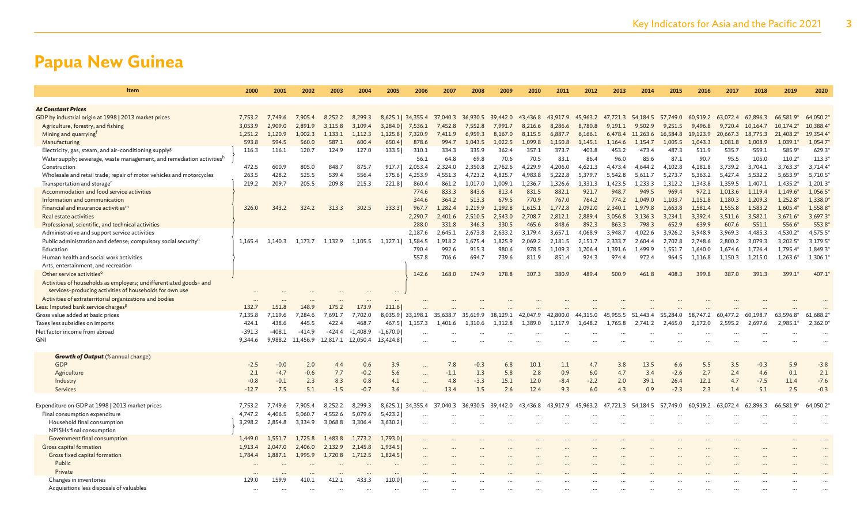| Item                                                                       | 2000     | 2001     | 2002               | 2003     | 2004       | 2005       | 2006                      | 2007     | 2008     | 2009     | 2010     | 2011     | 2012     | 2013     | 2014                                         | 2015     | 2016     | 2017     | 2018     | 2019                    | 2020     |
|----------------------------------------------------------------------------|----------|----------|--------------------|----------|------------|------------|---------------------------|----------|----------|----------|----------|----------|----------|----------|----------------------------------------------|----------|----------|----------|----------|-------------------------|----------|
|                                                                            |          |          |                    |          |            |            |                           |          |          |          |          |          |          |          |                                              |          |          |          |          |                         |          |
| <b>At Constant Prices</b>                                                  |          |          |                    |          |            |            |                           |          |          |          |          |          |          |          |                                              |          |          |          |          |                         |          |
| GDP by industrial origin at 1998   2013 market prices                      | 7.753.2  | 7,749.6  | 7.905.4            | 8.252.2  | 8,299.3    |            | 8,625.1 34,355.4 37,040.3 |          | 36,930.5 | 39,442.0 | 43,436.8 | 43,917.9 | 45,963.2 |          | 47,721.3 54,184.5 57,749.0 60,919.2 63,072.4 |          |          |          | 62,896.3 | 66,581.9*               | 64,050.2 |
| Agriculture, forestry, and fishing                                         | 3,053.9  | 2,909.0  | 2,891.9            | 3,115.8  | 3,109.4    | 3,284.0    | 7,536.1                   | 7,452.8  | 7,552.8  | 7,991.7  | 8,216.6  | 8,286.6  | 8,780.8  | 9,191.1  | 9,502.9                                      | 9,251.5  | 9,496.8  | 9,720.4  | 10,164.7 | $10,174.2$ <sup>*</sup> | 10,388.4 |
| Mining and quarrying <sup>f</sup>                                          | 1,251.2  | 1,120.9  | 1,002.3            | 1,133.1  | 1,112.3    | 1,125.8    | 7,320.9                   | 7,411.9  | 6,959.3  | 8,167.0  | 8,115.5  | 6,887.7  | 6,166.1  | 6,478.4  | 11,263.6                                     | 16,584.8 | 19,123.9 | 20,667.3 | 18,775.3 | 21,408.2*               | 19,354.4 |
| Manufacturing                                                              | 593.8    | 594.5    | 560.0              | 587.1    | 600.4      | 650.4      | 878.6                     | 994.7    | 1,043.5  | 1,022.5  | 1,099.8  | 1,150.8  | 1,145.1  | 1,164.6  | 1,154.7                                      | 1,005.5  | 1,043.3  | 1,081.8  | 1,008.9  | $1,039.1*$              | 1,054.7  |
| Electricity, gas, steam, and air-conditioning supply <sup>g</sup>          | 116.3    | 116.1    | 120.7              | 124.9    | 127.0      | 133.5      | 310.1                     | 334.3    | 335.9    | 362.4    | 357.1    | 373.7    | 403.8    | 453.2    | 473.4                                        | 487.3    | 511.9    | 535.7    | 559.1    | 585.9                   | 629.3    |
| Water supply; sewerage, waste management, and remediation activitiesh      |          |          |                    |          |            |            | 56.1                      | 64.8     | 69.8     | 70.6     | 70.5     | 83.1     | 86.4     | 96.0     | 85.6                                         | 87.1     | 90.7     | 95.5     | 105.0    | $110.2*$                | 113.3    |
| Construction                                                               | 472.5    | 600.9    | 805.0              | 848.7    | 875.7      | 917.7      | 2,053.4                   | 2,324.0  | 2,350.8  | 2,762.6  | 4,229.9  | 4,206.0  | 4,621.3  | 4,473.4  | 4,644.2                                      | 4,102.8  | 4,181.8  | 3,739.2  | 3,704.1  | 3,763.3*                | 3,714.4  |
| Wholesale and retail trade; repair of motor vehicles and motorcycles       | 263.5    | 428.2    | 525.5              | 539.4    | 556.4      | 575.6      | 4,253.9                   | 4,551.3  | 4,723.2  | 4,825.7  | 4,983.8  | 5,222.8  | 5,379.7  | 5,542.8  | 5,611.7                                      | 5,273.7  | 5,363.2  | 5,427.4  | 5,532.2  | 5,653.9*                | 5,710.5  |
| Transportation and storage <sup>r</sup>                                    | 219.2    | 209.7    | 205.5              | 209.8    | 215.3      | 221.8      | 860.4                     | 861.2    | 1.017.0  | 1.009.1  | 1,236.7  | 1.326.6  | 1.331.3  | 1.423.5  | 1.233.3                                      | 1.312.2  | 1.343.8  | 1.359.5  | 1.407.1  | $1,435.2*$              | 1,201.3  |
| Accommodation and food service activities                                  |          |          |                    |          |            |            | 774.6                     | 833.3    | 843.6    | 813.4    | 831.5    | 882.1    | 921.7    | 948.7    | 949.5                                        | 969.4    | 972.1    | 1,013.6  | 1.119.4  | $1,149.6*$              | 1,056.5  |
| Information and communication                                              |          |          |                    |          |            |            | 344.6                     | 364.2    | 513.3    | 679.5    | 770.9    | 767.0    | 764.2    | 774.2    | 1.049.0                                      | 1.103.7  | 1.151.8  | 1.180.3  | 1.209.3  | 1,252.8                 | 1,338.0  |
| Financial and insurance activities <sup>m</sup>                            | 326.0    | 343.2    | 324.2              | 313.3    | 302.5      | 333.3      | 967.7                     | 1,282.4  | 1,219.9  | 1,192.8  | 1,615.1  | 1,772.8  | 2,092.0  | 2.340.1  | 1,979.8                                      | 1,663.8  | 1,581.4  | 1,555.8  | 1,583.2  | 1,605.4                 | 1,558.8  |
| Real estate activities                                                     |          |          |                    |          |            |            | 2,290.7                   | 2,401.6  | 2,510.5  | 2,543.0  | 2,708.7  | 2,812.1  | 2,889.4  | 3,056.8  | 3,136.3                                      | 3,234.1  | 3.392.4  | 3,511.6  | 3,582.1  | $3,671.6$ <sup>*</sup>  | 3,697.3  |
| Professional, scientific, and technical activities                         |          |          |                    |          |            |            | 288.0                     | 331.8    | 346.3    | 330.5    | 465.6    | 848.6    | 892.3    | 863.3    | 798.3                                        | 652.9    | 639.9    | 607.6    | 551.1    | 556.6                   | 553.8    |
| Administrative and support service activities                              |          |          |                    |          |            |            | 2.187.6                   | 2.645.1  | 2.673.8  | 2.633.2  | 3.179.4  | 3.657.1  | 4.068.9  | 3.948.7  | 4.022.6                                      | 3.926.2  | 3.948.9  | 3.969.3  | 4,485.3  | 4,530.2*                | 4,575.5  |
| Public administration and defense; compulsory social security <sup>n</sup> | 1,165.4  | 1,140.3  | 1,173.7            | 1,132.9  | 1,105.5    | 1,127.1    | 1,584.5                   | 1,918.2  | 1,675.4  | 1,825.9  | 2,069.2  | 2,181.5  | 2,151.7  | 2,333.7  | 2,604.4                                      | 2,702.8  | 2,748.6  | 2,800.2  | 3,079.3  | $3,202.5$ <sup>*</sup>  | 3,179.5  |
| Education                                                                  |          |          |                    |          |            |            | 790.4                     | 992.6    | 915.3    | 980.6    | 978.5    | 1,109.3  | 1,206.4  | 1,391.6  | 1,499.9                                      | 1.551.7  | 1,640.0  | 1,674.6  | 1,726.4  | 1,795.4*                | 1,849.3  |
| Human health and social work activities                                    |          |          |                    |          |            |            | 557.8                     | 706.6    | 694.7    | 739.6    | 811.9    | 851.4    | 924.3    | 974.4    | 972.4                                        | 964.5    | 1,116.8  | 1,150.3  | 1,215.0  | $1,263.6*$              | 1,306.1' |
| Arts, entertainment, and recreation                                        |          |          |                    |          |            |            |                           |          |          |          |          |          |          |          |                                              |          |          |          |          |                         |          |
| Other service activities <sup>o</sup>                                      |          |          |                    |          |            |            | 142.6                     | 168.0    | 174.9    | 178.8    | 307.3    | 380.9    | 489.4    | 500.9    | 461.8                                        | 408.3    | 399.8    | 387.0    | 391.3    | 399.1*                  | 407.1    |
| Activities of households as employers; undifferentiated goods- and         |          |          |                    |          |            |            |                           |          |          |          |          |          |          |          |                                              |          |          |          |          |                         |          |
| services-producing activities of households for own use                    |          |          |                    |          |            |            |                           |          |          |          |          |          |          |          |                                              |          |          |          |          |                         |          |
| Activities of extraterritorial organizations and bodies                    |          |          |                    |          |            |            |                           |          |          |          |          |          |          |          |                                              |          |          |          |          |                         |          |
| Less: Imputed bank service charges <sup>p</sup>                            | 132.7    | 151.8    | 148.9              | 175.2    | 173.9      | 211.6      |                           |          |          |          |          |          |          |          |                                              |          |          |          |          |                         |          |
| Gross value added at basic prices                                          | 7,135.8  | 7,119.6  | 7,284.6            | 7,691.7  | 7,702.0    |            | 8,035.9   33,198.1        | 35,638.7 | 35,619.9 | 38,129.1 | 42,047.9 | 42,800.0 | 44,315.0 | 45,955.5 | 51,443.4                                     | 55,284.0 | 58,747.2 | 60,477.2 | 60,198.7 | 63,596.8*               | 61,688.2 |
| Taxes less subsidies on imports                                            | 424.1    | 438.6    | 445.5              | 422.4    | 468.7      | 467.5      | 1,157.3                   | 1,401.6  | 1,310.6  | 1,312.8  | 1,389.0  | 1,117.9  | 1,648.2  | 1,765.8  | 2,741.2                                      | 2,465.0  | 2,172.0  | 2,595.2  | 2,697.6  | 2,985.1                 | 2,362.0  |
| Net factor income from abroad                                              | $-391.3$ | $-408.1$ | $-414.9$           | $-424.4$ | $-1,408.9$ | $-1,670.0$ |                           |          |          |          |          |          |          |          |                                              |          |          |          |          |                         |          |
| GNI                                                                        | 9.344.6  | 9.988.2  | 11,456.9           | 12.817.1 | 12,050.4   | 13,424.8   |                           |          |          |          |          |          |          |          |                                              |          |          |          |          |                         |          |
|                                                                            |          |          |                    |          |            |            |                           |          |          |          |          |          |          |          |                                              |          |          |          |          |                         |          |
| <b>Growth of Output</b> (% annual change)                                  |          |          |                    |          |            |            |                           |          |          |          |          |          |          |          |                                              |          |          |          |          |                         |          |
| <b>GDP</b>                                                                 | $-2.5$   | $-0.0$   | 2.0                | 4.4      | 0.6        | 3.9        |                           | 7.8      | $-0.3$   | 6.8      | 10.1     | 1.1      | 4.7      | 3.8      | 13.5                                         | 6.6      | 5.5      | 3.5      | $-0.3$   | 5.9                     | $-3.8$   |
| Agriculture                                                                | 2.1      | $-4.7$   | $-0.6$             | 7.7      | $-0.2$     | 5.6        | $\ddots$                  | $-1.1$   | 1.3      | 5.8      | 2.8      | 0.9      | 6.0      | 4.7      | 3.4                                          | $-2.6$   | 2.7      | 2.4      | 4.6      | 0.1                     | 2.1      |
| Industry                                                                   | $-0.8$   | $-0.1$   | 2.3                | 8.3      | 0.8        | 4.1        |                           | 4.8      | $-3.3$   | 15.1     | 12.0     | $-8.4$   | $-2.2$   | 2.0      | 39.1                                         | 26.4     | 12.1     | 4.7      | $-7.5$   | 11.4                    | $-7.6$   |
| Services                                                                   | $-12.7$  | 7.5      | 5.1                | $-1.5$   | $-0.7$     | 3.6        |                           | 13.4     | 1.5      | 2.6      | 12.4     | 9.3      | 6.0      | 4.3      | 0.9                                          | $-2.3$   | 2.3      | 1.4      | 5.1      | 2.5                     | $-0.3$   |
|                                                                            |          |          | 7.905.4            | 8.252.2  |            |            |                           |          |          |          |          |          |          | -47      |                                              |          | 60.919.2 |          | 62,896.3 | 66.581.9*               | 64,050.2 |
| Expenditure on GDP at 1998   2013 market prices                            | 7,753.2  | 7,749.6  |                    |          | 8,299.3    |            | 8,625.1 34,355.4          | 37,040.3 | 36,930.5 | 39,442.0 | 43,436.8 | 43,917.9 | 45,963.2 | ,721.3   | 54,184.5                                     | 57,749.0 |          | 63.072.4 |          |                         |          |
| Final consumption expenditure                                              | 4,747.2  | 4,406.5  | 5,060.7<br>3.334.9 | 4,552.6  | 5,079.6    | 5,423.2    |                           |          |          |          |          |          |          |          |                                              |          |          |          |          |                         |          |
| Household final consumption                                                | 3,298.2  | 2,854.8  |                    | 3,068.8  | 3,306.4    | 3,630.2    |                           |          |          |          |          |          |          |          |                                              |          |          |          |          |                         |          |
| NPISHs final consumption                                                   |          |          |                    |          |            |            |                           |          |          |          |          |          |          |          |                                              |          |          |          |          |                         |          |
| Government final consumption                                               | 1,449.0  | 1,551.7  | 1,725.8            | 1,483.8  | 1,773.2    | 1,793.0    |                           |          |          |          |          |          |          |          |                                              |          |          |          |          |                         |          |
| Gross capital formation                                                    | 1.913.4  | 2,047.0  | 2,406.0            | 2,132.9  | 2,145.8    | 1,934.5    |                           |          |          |          |          |          |          |          |                                              |          |          |          |          |                         |          |
| Gross fixed capital formation                                              | 1.784.4  | 1,887.1  | 1,995.9            | 1,720.8  | 1,712.5    | 1,824.5    |                           |          |          |          |          |          |          |          |                                              |          |          |          |          |                         |          |
| Public                                                                     |          |          |                    |          |            |            |                           |          |          |          |          |          |          |          |                                              |          |          |          |          |                         |          |
| Private                                                                    |          |          |                    |          |            |            |                           |          |          |          |          |          |          |          |                                              |          |          |          |          |                         |          |
| Changes in inventories                                                     | 129.0    | 159.9    | 410.1              | 412.1    | 433.3      | 110.0      |                           |          |          |          |          |          |          |          |                                              |          |          |          |          |                         |          |
| Acquisitions less disposals of valuables                                   | $\cdots$ |          |                    |          |            |            |                           |          |          |          |          |          |          |          |                                              |          |          |          |          |                         |          |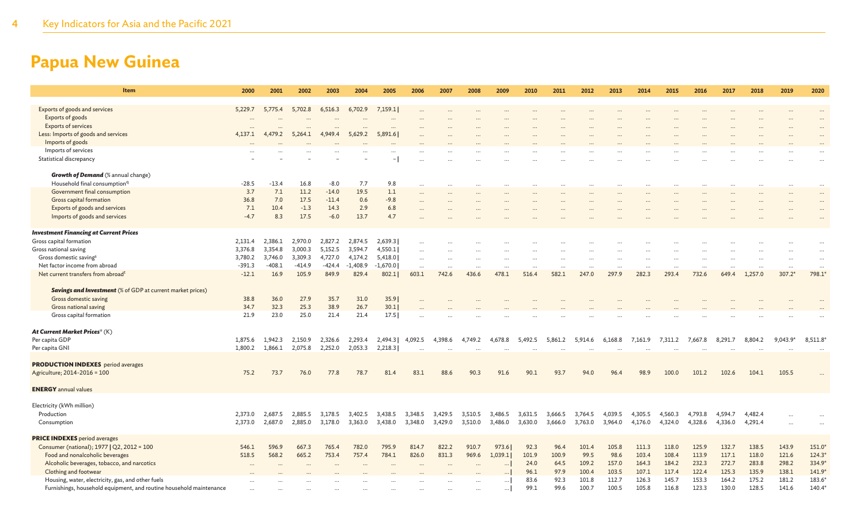| Item                                                                | 2000     | 2001     | 2002     | 2003     | 2004       | 2005                     | 2006              | 2007    | 2008    | 2009              | 2010    | 2011    | 2012      | 2013              | 2014    | 2015              | 2016    | 2017    | 2018    | 2019       | 2020               |
|---------------------------------------------------------------------|----------|----------|----------|----------|------------|--------------------------|-------------------|---------|---------|-------------------|---------|---------|-----------|-------------------|---------|-------------------|---------|---------|---------|------------|--------------------|
| Exports of goods and services                                       | 5,229.7  | 5,775.4  | 5,702.8  | 6,516.3  | 6,702.9    | 7,159.1                  |                   |         |         |                   |         |         |           |                   |         |                   |         |         |         |            |                    |
| Exports of goods                                                    |          |          |          |          |            |                          |                   |         |         |                   |         |         |           |                   |         |                   |         |         |         |            |                    |
| <b>Exports of services</b>                                          |          |          |          |          |            | $\ddotsc$                |                   |         |         |                   |         |         |           |                   |         |                   |         |         |         |            |                    |
| Less: Imports of goods and services                                 | 4,137.1  | 4.479.2  | 5.264.1  | 4,949.4  | 5,629.2    | 5.891.6                  |                   |         |         |                   |         |         |           |                   |         |                   |         |         |         |            |                    |
| Imports of goods                                                    |          |          |          |          |            |                          |                   |         |         |                   |         |         |           |                   |         |                   |         |         |         |            |                    |
| Imports of services                                                 |          |          |          |          |            |                          |                   |         |         |                   |         |         |           |                   |         |                   |         |         |         |            |                    |
| Statistical discrepancy                                             |          |          |          |          |            | $\overline{\phantom{m}}$ |                   |         |         |                   |         |         |           |                   |         |                   |         |         |         |            |                    |
|                                                                     |          |          |          |          |            |                          |                   |         |         |                   |         |         |           |                   |         |                   |         |         |         |            |                    |
| <b>Growth of Demand</b> (% annual change)                           |          |          |          |          |            |                          |                   |         |         |                   |         |         |           |                   |         |                   |         |         |         |            |                    |
| Household final consumption <sup>q</sup>                            | $-28.5$  | $-13.4$  | 16.8     | $-8.0$   | 7.7        | 9.8                      | $\ddots$          |         |         | $\cdots$          |         |         |           | $\ddotsc$         |         |                   |         |         |         |            |                    |
| Government final consumption                                        | 3.7      | 7.1      | 11.2     | $-14.0$  | 19.5       | 1.1                      |                   |         |         |                   |         |         |           |                   |         |                   |         |         |         |            |                    |
| Gross capital formation                                             | 36.8     | 7.0      | 17.5     | $-11.4$  | 0.6        | $-9.8$                   | $\cdots$          |         |         |                   |         |         |           |                   |         |                   |         |         |         |            |                    |
| Exports of goods and services                                       | 7.1      | 10.4     | $-1.3$   | 14.3     | 2.9        | 6.8                      |                   |         |         |                   |         |         |           |                   |         |                   |         |         |         |            |                    |
| Imports of goods and services                                       | $-4.7$   | 8.3      | 17.5     | $-6.0$   | 13.7       | 4.7                      |                   |         |         |                   |         |         |           |                   |         |                   |         |         |         |            |                    |
| <b>Investment Financing at Current Prices</b>                       |          |          |          |          |            |                          |                   |         |         |                   |         |         |           |                   |         |                   |         |         |         |            |                    |
| Gross capital formation                                             | 2,131.4  | 2,386.1  | 2,970.0  | 2,827.2  | 2,874.5    | 2,639.3                  |                   |         |         |                   |         |         |           |                   |         |                   |         |         |         |            |                    |
| Gross national saving                                               | 3,376.8  | 3,354.8  | 3,000.3  | 5,152.5  | 3,594.7    | 4,550.1                  | $\cdots$          |         |         |                   |         |         |           |                   |         |                   |         |         |         |            |                    |
| Gross domestic saving <sup>s</sup>                                  | 3,780.2  | 3,746.0  | 3,309.3  | 4,727.0  | 4,174.2    | 5,418.0                  |                   |         |         |                   |         |         |           |                   |         |                   |         |         |         |            |                    |
| Net factor income from abroad                                       | $-391.3$ | $-408.1$ | $-414.9$ | $-424.4$ | $-1,408.9$ | $-1,670.0$               | $\cdots$          |         |         |                   |         |         |           |                   |         |                   |         |         |         |            | $\cdots$           |
| Net current transfers from abroad <sup>t</sup>                      | $-12.1$  | 16.9     | 105.9    | 849.9    | 829.4      | 802.1                    | $\ddots$<br>603.1 | 742.6   | 436.6   | $\cdots$<br>478.1 | 516.4   | 582.1   | <br>247.0 | $\ldots$<br>297.9 | 282.3   | $\cdots$<br>293.4 | 732.6   | 649.4   | 1.257.0 | $307.2*$   | 798.1 <sup>'</sup> |
|                                                                     |          |          |          |          |            |                          |                   |         |         |                   |         |         |           |                   |         |                   |         |         |         |            |                    |
| <b>Savings and Investment</b> (% of GDP at current market prices)   |          |          |          |          |            |                          |                   |         |         |                   |         |         |           |                   |         |                   |         |         |         |            |                    |
| Gross domestic saving                                               | 38.8     | 36.0     | 27.9     | 35.7     | 31.0       | 35.9                     |                   |         |         |                   |         |         |           |                   |         |                   |         |         |         |            |                    |
| Gross national saving                                               | 34.7     | 32.3     | 25.3     | 38.9     | 26.7       | 30.1                     |                   |         |         |                   |         |         |           |                   |         |                   |         |         |         |            |                    |
| Gross capital formation                                             | 21.9     | 23.0     | 25.0     | 21.4     | 21.4       | 17.5                     |                   |         |         |                   |         |         |           |                   |         |                   |         |         |         |            |                    |
|                                                                     |          |          |          |          |            |                          |                   |         |         |                   |         |         |           |                   |         |                   |         |         |         |            |                    |
| At Current Market Prices <sup>u</sup> (K)                           |          |          |          |          |            |                          |                   |         |         |                   |         |         |           |                   |         |                   |         |         |         |            |                    |
| Per capita GDP                                                      | 1,875.6  | 1,942.3  | 2,150.9  | 2,326.6  | 2,293.4    | 2,494.3                  | 4,092.5           | 4,398.6 | 4,749.2 | 4,678.8           | 5,492.5 | 5,861.2 | 5,914.6   | 6,168.8           | 7,161.9 | 7,311.2           | 7,667.8 | 8,291.7 | 8,804.2 | $9,043.9*$ | 8,511.8            |
| Per capita GNI                                                      | 1,800.2  | 1,866.1  | 2,075.8  | 2,252.0  | 2,053.3    | 2,218.3                  |                   |         |         |                   |         |         |           |                   |         |                   |         |         |         |            |                    |
|                                                                     |          |          |          |          |            |                          |                   |         |         |                   |         |         |           |                   |         |                   |         |         |         |            |                    |
| <b>PRODUCTION INDEXES</b> period averages                           |          |          |          |          |            |                          |                   |         |         |                   |         |         |           |                   |         |                   |         |         |         |            |                    |
| Agriculture; 2014-2016 = 100                                        | 75.2     | 73.7     | 76.0     | 77.8     | 78.7       | 81.4                     | 83.1              | 88.6    | 90.3    | 91.6              | 90.1    | 93.7    | 94.0      | 96.4              | 98.9    | 100.0             | 101.2   | 102.6   | 104.1   | 105.5      |                    |
|                                                                     |          |          |          |          |            |                          |                   |         |         |                   |         |         |           |                   |         |                   |         |         |         |            |                    |
| <b>ENERGY</b> annual values                                         |          |          |          |          |            |                          |                   |         |         |                   |         |         |           |                   |         |                   |         |         |         |            |                    |
| Electricity (kWh million)                                           |          |          |          |          |            |                          |                   |         |         |                   |         |         |           |                   |         |                   |         |         |         |            |                    |
| Production                                                          | 2,373.0  | 2,687.5  | 2,885.5  | 3,178.5  | 3,402.5    | 3,438.5                  | 3,348.5           | 3,429.5 | 3,510.5 | 3,486.5           | 3,631.5 | 3,666.5 | 3,764.5   | 4,039.5           | 4,305.5 | 4,560.3           | 4,793.8 | 4,594.7 | 4,482.4 |            |                    |
| Consumption                                                         | 2,373.0  | 2,687.0  | 2,885.0  | 3,178.0  | 3,363.0    | 3,438.0                  | 3,348.0           | 3,429.0 | 3,510.0 | 3,486.0           | 3,630.0 | 3,666.0 | 3,763.0   | 3,964.0           | 4,176.0 | 4,324.0           | 4,328.6 | 4,336.0 | 4,291.4 |            |                    |
|                                                                     |          |          |          |          |            |                          |                   |         |         |                   |         |         |           |                   |         |                   |         |         |         |            |                    |
| <b>PRICE INDEXES</b> period averages                                |          |          |          |          |            |                          |                   |         |         |                   |         |         |           |                   |         |                   |         |         |         |            |                    |
| Consumer (national); 1977   Q2, 2012 = 100                          | 546.1    | 596.9    | 667.3    | 765.4    | 782.0      | 795.9                    | 814.7             | 822.2   | 910.7   | 973.6             | 92.3    | 96.4    | 101.4     | 105.8             | 111.3   | 118.0             | 125.9   | 132.7   | 138.5   | 143.9      | 151.0              |
| Food and nonalcoholic beverages                                     | 518.5    | 568.2    | 665.2    | 753.4    | 757.4      | 784.1                    | 826.0             | 831.3   | 969.6   | 1.039.1           | 101.9   | 100.9   | 99.5      | 98.6              | 103.4   | 108.4             | 113.9   | 117.1   | 118.0   | 121.6      | 124.3              |
| Alcoholic beverages, tobacco, and narcotics                         |          |          |          |          |            |                          |                   |         |         | $\cdots$          | 24.0    | 64.5    | 109.2     | 157.0             | 164.3   | 184.2             | 232.3   | 272.7   | 283.8   | 298.2      | 334.9              |
| Clothing and footwear                                               |          |          |          |          |            |                          |                   |         |         | $\cdots$          | 96.1    | 97.9    | 100.4     | 103.5             | 107.1   | 117.4             | 122.4   | 125.3   | 135.9   | 138.1      | 141.9              |
| Housing, water, electricity, gas, and other fuels                   |          |          |          |          |            |                          |                   |         |         | $\cdots$          | 83.6    | 92.3    | 101.8     | 112.7             | 126.3   | 145.7             | 153.3   | 164.2   | 175.2   | 181.2      | 183.6              |
| Furnishings, household equipment, and routine household maintenance |          |          |          |          |            |                          |                   |         |         | $\cdots$          | 99.1    | 99.6    | 100.7     | 100.5             | 105.8   | 116.8             | 123.3   | 130.0   | 128.5   | 141.6      | 140.4              |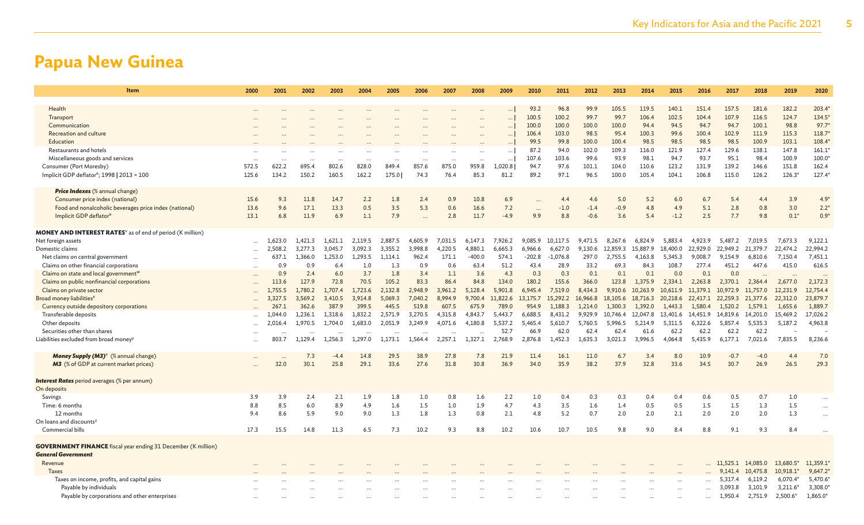| Item                                                                         | 2000     | 2001    | 2002     | 2003     | 2004     | 2005     | 2006     | 2007                 | 2008     | 2009     | 2010                        | 2011          | 2012     | 2013     | 2014     | 2015      | 2016      | 2017              | 2018     | 2019                   | 2020                 |
|------------------------------------------------------------------------------|----------|---------|----------|----------|----------|----------|----------|----------------------|----------|----------|-----------------------------|---------------|----------|----------|----------|-----------|-----------|-------------------|----------|------------------------|----------------------|
|                                                                              |          |         |          |          |          |          |          |                      |          |          |                             |               |          |          |          |           |           |                   |          |                        |                      |
| Health                                                                       |          |         |          |          |          |          |          |                      |          | $\ldots$ | 93.2                        | 96.8          | 99.9     | 105.5    | 119.5    | 140.1     | 151.4     | 157.5             | 181.6    | 182.2                  | 203.4                |
| Transport                                                                    |          |         |          |          |          |          |          |                      |          | $\ldots$ | 100.5                       | 100.2         | 99.7     | 99.7     | 106.4    | 102.5     | 104.4     | 107.9             | 116.5    | 124.7                  | 134.5                |
| Communication                                                                |          |         |          |          |          |          |          |                      |          | $\ldots$ | 100.0                       | 100.0         | 100.0    | 100.0    | 94.4     | 94.5      | 94.7      | 94.7              | 100.1    | 98.8                   | 97.7                 |
| Recreation and culture                                                       |          |         |          |          |          |          |          |                      |          | $\ldots$ | 106.4                       | 103.0         | 98.5     | 95.4     | 100.3    | 99.6      | 100.4     | 102.9             | 111.9    | 115.3                  | 118.7                |
| Education                                                                    |          |         |          |          |          |          |          |                      |          |          | 99.5                        | 99.8          | 100.0    | 100.4    | 98.5     | 98.5      | 98.5      | 98.5              | 100.9    | 103.1                  | 108.4                |
| Restaurants and hotels                                                       |          |         |          |          |          |          |          |                      |          | $\ldots$ | 87.2                        | 94.0          | 102.0    | 109.3    | 116.0    | 121.9     | 127.4     | 129.6             | 138.1    | 147.8                  | 161.1                |
| Miscellaneous goods and services                                             |          |         |          |          |          |          |          |                      |          | $\ldots$ | 107.6                       | 103.6         | 99.6     | 93.9     | 98.1     | 94.7      | 93.7      | 95.1              | 98.4     | 100.9                  | 100.0                |
| Consumer (Port Moresby)                                                      | 572.5    | 622.2   | 695.4    | 802.6    | 828.0    | 849.4    | 857.6    | 875.0                | 959.8    | 1,020.8  | 94.7                        | 97.6          | 101.1    | 104.0    | 110.6    | 123.2     | 131.9     | 139.2             | 146.6    | 151.8                  | 162.4                |
| Implicit GDP deflator <sup>e</sup> ; 1998   2013 = 100                       | 125.6    | 134.2   | 150.2    | 160.5    | 162.2    | 175.0    | 74.3     | 76.4                 | 85.3     | 81.2     | 89.2                        | 97.1          | 96.5     | 100.0    | 105.4    | 104.1     | 106.8     | 115.0             | 126.2    | $126.3*$               | 127.4                |
| <b>Price Indexes</b> (% annual change)                                       |          |         |          |          |          |          |          |                      |          |          |                             |               |          |          |          |           |           |                   |          |                        |                      |
| Consumer price index (national)                                              | 15.6     | 9.3     | 11.8     | 14.7     | 2.2      | 1.8      | 2.4      | 0.9                  | 10.8     | 6.9      |                             | 4.4           | 4.6      | 5.0      | 5.2      | 6.0       | 6.7       | 5.4               | 4.4      | 3.9                    | $4.9*$               |
|                                                                              | 13.6     | 9.6     | 17.1     | 13.3     | 0.5      | 3.5      | 5.3      | 0.6                  | 16.6     | 7.2      |                             |               | $-1.4$   | $-0.9$   | 4.8      | 4.9       | 5.1       | 2.8               | 0.8      | 3.0                    |                      |
| Food and nonalcoholic beverages price index (national)                       | 13.1     | 6.8     | 11.9     | 6.9      | 1.1      | 7.9      |          | 2.8                  | 11.7     | $-4.9$   | $\ddot{\phantom{a}}$<br>9.9 | $-1.0$<br>8.8 | $-0.6$   | 3.6      | 5.4      | $-1.2$    | 2.5       | 7.7               | 9.8      | $0.1*$                 | $2.2*$<br>$0.9*$     |
| Implicit GDP deflator <sup>e</sup>                                           |          |         |          |          |          |          |          |                      |          |          |                             |               |          |          |          |           |           |                   |          |                        |                      |
| <b>MONEY AND INTEREST RATES</b> <sup>v</sup> as of end of period (K million) |          |         |          |          |          |          |          |                      |          |          |                             |               |          |          |          |           |           |                   |          |                        |                      |
| Net foreign assets                                                           | $\cdots$ | 1,623.0 | 1,421.3  | 1,621.1  | 2,119.5  | 2,887.5  | 4,605.9  | 7,031.5              | 6,147.3  | 7,926.2  | 9,085.9                     | 10,117.5      | 9,471.5  | 8,267.6  | 6,824.9  | 5,883.4   | 4,923.9   | 5,487.2           | 7,019.5  | 7,673.3                | 9,122.1              |
| Domestic claims                                                              | $\cdots$ | 2,508.2 | 3.277.3  | 3,045.7  | 3,092.3  | 3,355.2  | 3,998.8  | 4,220.5              | 4.880.1  | 6,665.3  | 6,966.6                     | 6,627.0       | 9,130.6  | 12,859.3 | 15,887.9 | 18,400.0  | 22,929.0  | 22,949.2          | 21,379.7 | 22,474.2               | 22,994.2             |
| Net claims on central government                                             | $\cdots$ | 637.1   | 1,366.0  | 1,253.0  | 1,293.5  | 1,114.1  | 962.4    | 171.1                | $-400.0$ | 574.1    | $-202.8$                    | $-1,076.8$    | 297.0    | 2,755.5  | 4,163.8  | 5,345.3   | 9,008.7   | 9,154.9           | 6,810.6  | 7,150.4                | 7,451.1              |
| Claims on other financial corporations                                       | $\cdots$ | 0.9     | 0.9      | 6.4      | 1.0      | 1.3      | 0.9      | 0.6                  | 63.4     | 51.2     | 43.4                        | 28.9          | 33.2     | 69.3     | 84.3     | 108.7     | 277.4     | 451.2             | 447.6    | 415.0                  | 616.5                |
| Claims on state and local government <sup>w</sup>                            | $\cdots$ | 0.9     | 2.4      | 6.0      | 3.7      | 1.8      | 3.4      | 1.1                  | 3.6      | 4.3      | 0.3                         | 0.3           | 0.1      | 0.1      | 0.1      | 0.0       | 0.1       | 0.0               | $\cdots$ |                        | $\ddot{\phantom{a}}$ |
| Claims on public nonfinancial corporations                                   |          | 113.6   | 127.9    | 72.8     | 70.5     | 105.2    | 83.3     | 86.4                 | 84.8     | 134.0    | 180.2                       | 155.6         | 366.0    | 123.8    | 1,375.9  | 2,334.1   | 2,263.8   | 2,370.1           | 2,364.4  | 2,677.0                | 2,172.3              |
| Claims on private sector                                                     | $\cdots$ | 1,755.5 | 1,780.2  | 1,707.4  | 1,723.6  | 2,132.8  | 2,948.9  | 3,961.2              | 5,128.4  | 5,901.8  | 6,945.4                     | 7,519.0       | 8,434.3  | 9,910.6  | 10,263.9 | 10,611.9  | 11.379.1  | 10,972.9          | 11,757.0 | 12,231.9               | 12,754.4             |
| Broad money liabilities <sup>x</sup>                                         |          | 3,327.5 | 3,569.2  | 3,410.5  | 3,914.8  | 5,069.3  | 7,040.2  | 8,994.9              | 9,700.4  | 11,822.6 | 13,175.7                    | 15,292.2      | 16,966.8 | 18,105.6 | 18,716.3 | 20,218.6  | 22,417.1  | 22,259.3          | 21,377.6 | 22,312.0               | 23,879.7             |
| Currency outside depository corporations                                     |          | 267     | 362.6    | 387.9    | 399.5    | 445.5    | 519.8    | 607.5                | 675.9    | 789.0    | 954.9                       | 1.188.3       | 1,214.0  | 1.300.3  | 1.392.0  | 1,443.3   | 1.580.4   | 1.520.2           | 1.579.1  | 1,655.6                | 1,889.7              |
| Transferable deposits                                                        |          | 1,044.0 | 1,236.1  | 1,318.6  | 1,832.2  | 2,571.9  | 3,270.5  | 4,315.8              | 4,843.7  | 5,443.7  | 6,688.5                     | 8,431.2       | 9,929.9  | 10,746.4 | 12,047.8 | 13,401.6  | 14,451.9  | 14,819.6          | 14,201.0 | 15,469.2               | 17,026.2             |
| Other deposits                                                               |          | 2,016.4 | 1,970.5  | 1,704.0  | 1,683.0  | 2,051.9  | 3,249.9  | 4,071.6              | 4,180.8  | 5,537.2  | 5,465.4                     | 5,610.7       | 5,760.5  | 5,996.5  | 5,214.9  | 5,311.5   | 6,322.6   | 5,857.4           | 5,535.3  | 5,187.2                | 4,963.8              |
| Securities other than shares                                                 | $\cdots$ |         | $\cdots$ | $\cdots$ | $\cdots$ | $\cdots$ | $\cdots$ | $\ddot{\phantom{a}}$ |          | 52.7     | 66.9                        | 62.0          | 62.4     | 62.4     | 61.6     | 62.2      | 62.2      | 62.2              | 62.2     |                        |                      |
| Liabilities excluded from broad money <sup>y</sup>                           |          | 803.7   | 1,129.4  | 1,256.3  | 1,297.0  | 1,173.1  | 1,564.4  | 2,257.1              | 1,327.1  | 2,768.9  | 2,876.8                     | 1,452.3       | 1,635.3  | 3,021.3  | 3,996.5  | 4,064.8   | 5,435.9   | 6,177.1           | 7,021.6  | 7,835.5                | 8,236.6              |
|                                                                              |          |         |          |          |          |          |          |                      |          |          |                             |               |          |          |          |           |           |                   |          |                        |                      |
| Money Supply (M3) <sup>x</sup> (% annual change)                             | $\cdots$ |         | 7.3      | $-4.4$   | 14.8     | 29.5     | 38.9     | 27.8                 | 7.8      | 21.9     | 11.4                        | 16.1          | 11.0     | 6.7      | 3.4      | 8.0       | 10.9      | $-0.7$            | $-4.0$   | 4.4                    | 7.0                  |
| <b>M3</b> (% of GDP at current market prices)                                |          | 32.0    | 30.1     | 25.8     | 29.1     | 33.6     | 27.6     | 31.8                 | 30.8     | 36.9     | 34.0                        | 35.9          | 38.2     | 37.9     | 32.8     | 33.6      | 34.5      | 30.7              | 26.9     | 26.5                   | 29.3                 |
| <b>Interest Rates</b> period averages (% per annum)                          |          |         |          |          |          |          |          |                      |          |          |                             |               |          |          |          |           |           |                   |          |                        |                      |
| On deposits                                                                  |          |         |          |          |          |          |          |                      |          |          |                             |               |          |          |          |           |           |                   |          |                        |                      |
| Savings                                                                      | 3.9      | 3.9     | 2.4      | 2.1      | 1.9      | 1.8      | 1.0      | 0.8                  | 1.6      | 2.2      | 1.0                         | 0.4           | 0.3      | 0.3      | 0.4      | 0.4       | 0.6       | 0.5               | 0.7      | 1.0                    |                      |
| Time: 6 months                                                               | 8.8      | 8.5     | 6.0      | 8.9      | 4.9      | 1.6      | 1.5      | 1.0                  | 1.9      | 4.7      | 4.3                         | 3.5           | 1.6      | 1.4      | 0.5      | 0.5       | 1.5       | 1.5               | 1.3      | 1.5                    | $\cdots$             |
| 12 months                                                                    | 9.4      | 8.6     | 5.9      | 9.0      | 9.0      | 1.3      | 1.8      | 1.3                  | 0.8      | 2.1      | 4.8                         | 5.2           | 0.7      | 2.0      | 2.0      | 2.1       | 2.0       | 2.0               | 2.0      | 1.3                    | $\cdots$             |
| On loans and discounts <sup>z</sup>                                          |          |         |          |          |          |          |          |                      |          |          |                             |               |          |          |          |           |           |                   |          |                        |                      |
| Commercial bills                                                             | 17.3     | 15.5    | 14.8     | 11.3     | 6.5      | 7.3      | 10.2     | 9.3                  | 8.8      | 10.2     | 10.6                        | 10.7          | 10.5     | 9.8      | 9.0      | 8.4       | 8.8       | 9.1               | 9.3      | 8.4                    |                      |
|                                                                              |          |         |          |          |          |          |          |                      |          |          |                             |               |          |          |          |           |           |                   |          |                        |                      |
| <b>GOVERNMENT FINANCE</b> fiscal year ending 31 December (K million)         |          |         |          |          |          |          |          |                      |          |          |                             |               |          |          |          |           |           |                   |          |                        |                      |
| <b>General Government</b>                                                    |          |         |          |          |          |          |          |                      |          |          |                             |               |          |          |          |           |           |                   |          |                        |                      |
| Revenue                                                                      |          |         |          |          |          |          |          |                      |          |          |                             |               |          |          |          |           |           | 11,525.1 14,085.0 |          | 13,680.5*              | 11,359.1             |
| Taxes                                                                        |          |         |          |          |          |          |          |                      |          |          |                             |               |          |          |          |           |           | 9,141.4           | 10,475.8 | 10,918.1               | 9,647.2              |
| Taxes on income, profits, and capital gains                                  |          |         |          |          |          |          |          |                      |          |          |                             |               |          |          |          |           | $\ddotsc$ | 5,317.4           | 6,119.2  | $6,070.4$ <sup>*</sup> | 5,470.6              |
| Payable by individuals                                                       |          |         |          |          |          |          |          |                      |          |          |                             |               |          |          |          |           | $\sim$    | 3.093.8           | 3,101.9  | 3,211.6*               | 3,308.0              |
| Payable by corporations and other enterprises                                |          |         |          |          |          |          |          |                      |          |          |                             |               |          |          |          | $\ddotsc$ | $\ddotsc$ | 1,950.4           | 2,751.9  | 2,500.6*               | 1,865.0*             |
|                                                                              |          |         |          |          |          |          |          |                      |          |          |                             |               |          |          |          |           |           |                   |          |                        |                      |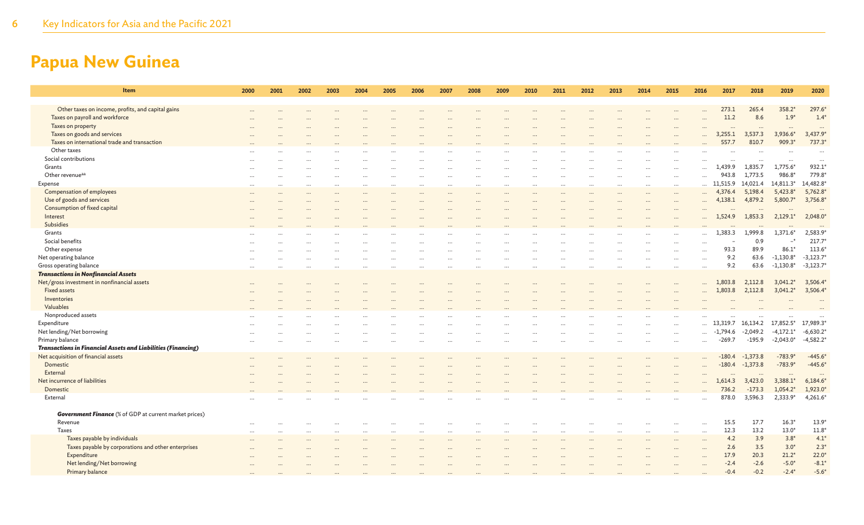| Item                                                                | 2000 | 2001 | 2002 | 2003 | 2004      | 2005 | 2006 | 2007 | 2008 | 2009 | 2010      | 2011 | 2012 | 2013     | 2014 | 2015      | 2016                             | 2017             | 2018                | 2019        | 2020             |
|---------------------------------------------------------------------|------|------|------|------|-----------|------|------|------|------|------|-----------|------|------|----------|------|-----------|----------------------------------|------------------|---------------------|-------------|------------------|
| Other taxes on income, profits, and capital gains                   |      |      |      |      |           |      |      |      |      |      |           |      |      |          |      |           |                                  | 273.1            | 265.4               | 358.2*      | 297.6            |
| Taxes on payroll and workforce                                      |      |      |      |      |           |      |      |      |      |      |           |      |      |          |      |           |                                  | 11.2             | 8.6                 | $1.9*$      | 1.4              |
| Taxes on property                                                   |      |      |      |      |           |      |      |      |      |      |           |      |      |          |      |           | $\cdots$                         | $\ddots$         | $\cdots$            | $\cdots$    |                  |
| Taxes on goods and services                                         |      |      |      |      |           |      |      |      |      |      |           |      |      |          |      |           |                                  | 3,255.1          | 3,537.3             | 3,936.6*    | 3,437.9*         |
| Taxes on international trade and transaction                        |      |      |      |      |           |      |      |      |      |      |           |      |      |          |      |           |                                  | 557.7            | 810.7               | 909.3*      | 737.3            |
| Other taxes                                                         |      |      |      |      |           |      |      |      |      |      |           |      |      |          |      |           |                                  |                  |                     |             |                  |
| Social contributions                                                |      |      |      |      |           |      |      |      |      |      |           |      |      |          |      |           |                                  |                  |                     |             |                  |
| Grants                                                              |      |      |      |      |           |      |      |      |      |      |           |      |      |          |      |           | $\cdots$                         | 1,439.9          | 1,835.7             | $1,775.6*$  | 932.1            |
| Other revenue <sup>aa</sup>                                         |      |      |      |      |           |      |      |      |      |      |           |      |      |          |      |           |                                  | 943.8            | 1,773.5             | 986.8*      | 779.8            |
| Expense                                                             |      |      |      |      | $\ddotsc$ |      |      |      |      |      | $\ddotsc$ |      |      |          |      | $\cdots$  | $\cdots$                         | 11,515.9         | 14,021.4            | 14,811.3*   | 14,482.8         |
| Compensation of employees                                           |      |      |      |      |           |      |      |      |      |      |           |      |      |          |      | $\cdots$  |                                  | 4,376.4          | 5,198.4             | $5,423.8*$  | 5,762.8          |
| Use of goods and services                                           |      |      |      |      |           |      |      |      |      |      |           |      |      |          |      | $\cdots$  | $\cdots$                         | 4,138.1          | 4,879.2             | 5,800.7     | 3,756.8          |
| Consumption of fixed capital                                        |      |      |      |      |           |      |      |      |      |      |           |      |      |          |      |           |                                  |                  |                     |             |                  |
| Interest                                                            |      |      |      |      |           |      |      |      |      |      |           |      |      |          |      |           |                                  | 1,524.9          | 1,853.3             | $2,129.1*$  | 2,048.0          |
| Subsidies                                                           |      |      |      |      |           |      |      |      |      |      |           |      |      |          |      |           |                                  |                  |                     |             |                  |
| Grants<br>Social benefits                                           |      |      |      |      |           |      |      |      |      |      |           |      |      |          |      |           | $\cdots$                         | .,383.3          | 1,999.8<br>0.9      | $1,371.6*$  | 2,583.9<br>217.7 |
| Other expense                                                       |      |      |      |      |           |      |      |      |      |      |           |      |      |          |      |           | $\cdots$                         | 93.3             | 89.9                | $86.1*$     | 113.6            |
| Net operating balance                                               |      |      |      |      |           |      |      |      |      |      |           |      |      |          |      |           | $\cdots$                         | 9.2              | 63.6                | $-1,130.8*$ | $-3,123.7$       |
| Gross operating balance                                             |      |      |      |      |           |      |      |      |      |      |           |      |      |          |      |           | $\cdots$<br>$\ddot{\phantom{a}}$ | 9.2              | 63.6                | $-1,130.8*$ | $-3,123.7$       |
| <b>Transactions in Nonfinancial Assets</b>                          |      |      |      |      |           |      |      |      |      |      |           |      |      |          |      |           |                                  |                  |                     |             |                  |
| Net/gross investment in nonfinancial assets                         |      |      |      |      |           |      |      |      |      |      |           |      |      |          |      |           |                                  | 1,803.8          | 2,112.8             | $3,041.2*$  | 3,506.4          |
| <b>Fixed assets</b>                                                 |      |      |      |      |           |      |      |      |      |      |           |      |      |          |      |           |                                  | 1,803.8          | 2,112.8             | $3,041.2*$  | 3,506.4          |
| Inventories                                                         |      |      |      |      |           |      |      |      |      |      |           |      |      |          |      |           |                                  |                  |                     |             |                  |
| Valuables                                                           |      |      |      |      |           |      |      |      |      |      |           |      |      |          |      |           |                                  |                  |                     |             |                  |
| Nonproduced assets                                                  |      |      |      |      |           |      |      |      |      |      |           |      |      |          |      |           |                                  |                  |                     |             |                  |
| Expenditure                                                         |      |      |      |      |           |      |      |      |      |      |           |      |      |          |      |           |                                  | $\dots$ 13,319.7 | 16,134.2            | 17,852.5*   | 17,989.3         |
| Net lending/Net borrowing                                           |      |      |      |      |           |      |      |      |      |      |           |      |      |          |      |           |                                  | $-1,794.6$       | $-2,049.2$          | $-4,172.1*$ | $-6,630.2$       |
| Primary balance                                                     |      |      |      |      |           |      |      |      |      |      |           |      |      |          |      | $\ddotsc$ | $\cdots$                         | $-269.7$         | $-195.9$            | $-2,043.0*$ | $-4,582.2$       |
| <b>Transactions in Financial Assets and Liabilities (Financing)</b> |      |      |      |      |           |      |      |      |      |      |           |      |      |          |      |           |                                  |                  |                     |             |                  |
| Net acquisition of financial assets                                 |      |      |      |      |           |      |      |      |      |      |           |      |      |          |      |           |                                  | $-180.4$         | $-1,373.8$          | $-783.9$    | $-445.6$         |
| Domestic                                                            |      |      |      |      |           |      |      |      |      |      |           |      |      |          |      |           | $\ddotsc$                        | $-180.4$         | $-1,373.8$          | $-783.9*$   | $-445.6$         |
| External                                                            |      |      |      |      |           |      |      |      |      |      |           |      |      |          |      |           |                                  |                  |                     |             |                  |
| Net incurrence of liabilities                                       |      |      |      |      |           |      |      |      |      |      |           |      |      |          |      |           |                                  | 1,614.3          | 3,423.0             | $3,388.1*$  | $6,184.6*$       |
| Domestic<br>External                                                |      |      |      |      |           |      |      |      |      |      |           |      |      |          |      |           |                                  | 736.2<br>878.0   | $-173.3$<br>3,596.3 | $1,054.2*$  | 1,923.0          |
|                                                                     |      |      |      |      |           |      |      |      |      |      |           |      |      |          |      |           |                                  |                  |                     | 2,333.9*    | 4,261.6          |
| <b>Government Finance</b> (% of GDP at current market prices)       |      |      |      |      |           |      |      |      |      |      |           |      |      |          |      |           |                                  |                  |                     |             |                  |
| Revenue                                                             |      |      |      |      |           |      |      |      |      |      |           |      |      |          |      |           |                                  | 15.5             | 17.7                | $16.3*$     | 13.9             |
| Taxes                                                               |      |      |      |      |           |      |      |      |      |      |           |      |      | $\cdots$ |      | $\cdots$  | $\cdots$                         | 12.3             | 13.2                | $13.0*$     | 11.8             |
| Taxes payable by individuals                                        |      |      |      |      |           |      |      |      |      |      |           |      |      |          |      |           | $\cdots$                         | 4.2              | 3.9                 | $3.8*$      | 4.1              |
| Taxes payable by corporations and other enterprises                 |      |      |      |      |           |      |      |      |      |      |           |      |      |          |      |           | $\cdots$                         | 2.6              | 3.5                 | $3.0*$      | $2.3^{\circ}$    |
| Expenditure                                                         |      |      |      |      |           |      |      |      |      |      |           |      |      |          |      |           |                                  | 17.9             | 20.3                | $21.2*$     | $22.0*$          |
| Net lending/Net borrowing                                           |      |      |      |      |           |      |      |      |      |      |           |      |      |          |      |           |                                  | $-2.4$           | $-2.6$              | $-5.0*$     | $-8.1*$          |
| Primary balance                                                     |      |      |      |      |           |      |      |      |      |      |           |      |      |          |      |           |                                  | $-0.4$           | $-0.2$              | $-2.4*$     | $-5.6*$          |
|                                                                     |      |      |      |      |           |      |      |      |      |      |           |      |      |          |      |           |                                  |                  |                     |             |                  |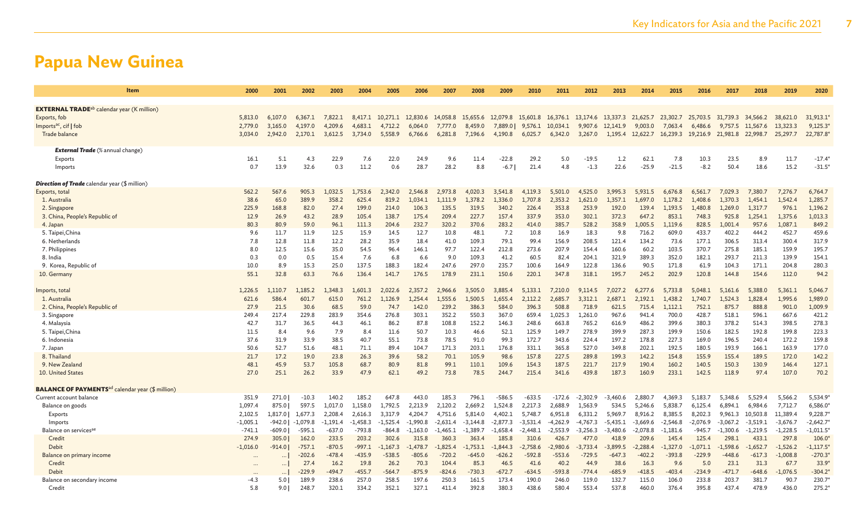| Item                                                                | 2000       | 2001     | 2002       | 2003       | 2004       | 2005                      | 2006       | 2007       | 2008       | 2009                                                                    | 2010       | 2011       | 2012       | 2013       | 2014             | 2015       | 2016              | 2017       | 2018              | 2019       | 2020       |
|---------------------------------------------------------------------|------------|----------|------------|------------|------------|---------------------------|------------|------------|------------|-------------------------------------------------------------------------|------------|------------|------------|------------|------------------|------------|-------------------|------------|-------------------|------------|------------|
|                                                                     |            |          |            |            |            |                           |            |            |            |                                                                         |            |            |            |            |                  |            |                   |            |                   |            |            |
| <b>EXTERNAL TRADE</b> <sup>ab</sup> calendar year (K million)       |            |          |            |            |            |                           |            |            |            |                                                                         |            |            |            |            |                  |            |                   |            |                   |            |            |
| Exports, fob                                                        | 5,813.0    | 6,107.0  | 6,367.1    | 7,822.1    |            | 8,417.1 10,271.1 12,830.6 |            | 14,058.8   | 15,655.6   | 12,079.8 15,601.8 16,376.1 13,174.6 13,337.3 21,625.7 23,302.7 25,703.5 |            |            |            |            |                  |            |                   |            | 31,739.3 34,566.2 | 38,621.0   | 31,913.1   |
| Imports <sup>ac</sup> , cif   fob                                   | 2,779.0    | 3,165.0  | 4.197.0    | 4.209.6    | 4,683.1    | 4,712.2                   | 6,064.0    | 7,777.0    | 8.459.0    | 7,889.0                                                                 | 9,576.1    | 10,034.1   | 9,907.6    | 12,141.9   | 9.003.0          | 7,063.4    | 6,486.6           | 9,757.5    | 11,567.6          | 13,323.3   | 9,125.3'   |
| Trade balance                                                       | 3.034.0    | 2,942.0  | 2,170.1    | 3,612.5    | 3,734.0    | 5,558.9                   | 6,766.6    | 6,281.8    | 7,196.6    | 4,190.8                                                                 | 6,025.7    | 6,342.0    | 3,267.0    |            | 1,195.4 12,622.7 |            | 16,239.3 19,216.9 | 21,981.8   | 22,998.7          | 25,297.7   | 22,787.8   |
|                                                                     |            |          |            |            |            |                           |            |            |            |                                                                         |            |            |            |            |                  |            |                   |            |                   |            |            |
| <b>External Trade</b> (% annual change)                             |            |          |            |            |            |                           |            |            |            |                                                                         |            |            |            |            |                  |            |                   |            |                   |            |            |
| Exports                                                             | 16.1       | 5.1      | 4.3        | 22.9       | 7.6        | 22.0                      | 24.9       | 9.6        | 11.4       | $-22.8$                                                                 | 29.2       | 5.0        | $-19.5$    | 1.2        | 62.1             | 7.8        | 10.3              | 23.5       | 8.9               | 11.7       | $-17.4$    |
| Imports                                                             | 0.7        | 13.9     | 32.6       | 0.3        | 11.2       | 0.6                       | 28.7       | 28.2       | 8.8        | $-6.7$                                                                  | 21.4       | 4.8        | $-1.3$     | 22.6       | $-25.9$          | $-21.5$    | $-8.2$            | 50.4       | 18.6              | 15.2       | $-31.5'$   |
| <b>Direction of Trade</b> calendar year (\$ million)                |            |          |            |            |            |                           |            |            |            |                                                                         |            |            |            |            |                  |            |                   |            |                   |            |            |
| Exports, total                                                      | 562.2      | 567.6    | 905.3      | 1,032.5    | 1,753.6    | 2,342.0                   | 2,546.8    | 2,973.8    | 4,020.3    | 3,541.8                                                                 | 4,119.3    | 5.501.0    | 4,525.0    | 3,995.3    | 5.931.5          | 6,676.8    | 6.561.7           | 7.029.3    | 7.380.7           | 7,276.7    | 6,764.7    |
| 1. Australia                                                        | 38.6       | 65.0     | 389.9      | 358.2      | 625.4      | 819.2                     | 1.034.1    | 1.111.9    | 1.378.2    | 1.336.0                                                                 | 1.707.8    | 2,353.2    | 1,621.0    | 1.357.1    | 1.697.0          | 1.178.2    | 1,408.6           | 1.370.3    | 1.454.1           | 1,542.4    | 1,285.7    |
| 2. Singapore                                                        | 225.9      | 168.8    | 82.0       | 27.4       | 199.0      | 214.0                     | 106.3      | 135.5      | 319.5      | 340.2                                                                   | 226.4      | 353.8      | 253.9      | 192.0      | 139.4            | 1,193.5    | 1,480.8           | 1,269.0    | 1,317.7           | 976.1      | 1,196.2    |
| 3. China, People's Republic of                                      | 12.9       | 26.9     | 43.2       | 28.9       | 105.4      | 138.7                     | 175.4      | 209.4      | 227.7      | 157.4                                                                   | 337.9      | 353.0      | 302.1      | 372.3      | 647.2            | 853.1      | 748.3             | 925.8      | 1.254.1           | 1,375.6    | 1,013.3    |
| 4. Japan                                                            | 80.3       | 80.9     | 59.0       | 96.1       | 111.3      | 204.6                     | 232.7      | 320.2      | 370.6      | 283.2                                                                   | 414.0      | 385.7      | 528.2      | 358.9      | 1.005.5          | 1.119.6    | 828.5             | 1.001.4    | 957.6             | 1.087.1    | 849.2      |
| 5. Taipei, China                                                    | 9.6        | 11.7     | 11.9       | 12.5       | 15.9       | 14.5                      | 12.7       | 10.8       | 48.1       | 7.2                                                                     | 10.8       | 16.9       | 18.3       | 9.8        | 716.2            | 609.0      | 433.7             | 402.2      | 444.2             | 452.7      | 459.6      |
| 6. Netherlands                                                      | 7.8        | 12.8     | 11.8       | 12.2       | 28.2       | 35.9                      | 18.4       | 41.0       | 109.3      | 79.1                                                                    | 99.4       | 156.9      | 208.5      | 121.4      | 134.2            | 73.6       | 177.1             | 306.5      | 313.4             | 300.4      | 317.9      |
| 7. Philippines                                                      | 8.0        | 12.5     | 15.6       | 35.0       | 54.5       | 96.4                      | 146.1      | 97.7       | 122.4      | 212.8                                                                   | 273.6      | 207.9      | 154.4      | 160.6      | 60.2             | 103.5      | 370.7             | 275.8      | 185.1             | 159.9      | 195.7      |
| 8. India                                                            | 0.3        | 0.0      | 0.5        | 15.4       | 7.6        | 6.8                       | 6.6        | 9.0        | 109.3      | 41.2                                                                    | 60.5       | 82.4       | 204.1      | 321.9      | 389.3            | 352.0      | 182.1             | 293.7      | 211.3             | 139.9      | 154.1      |
| 9. Korea, Republic of                                               | 10.0       | 8.9      | 15.3       | 25.0       | 137.5      | 188.3                     | 182.4      | 247.6      | 297.0      | 235.7                                                                   | 100.6      | 164.9      | 122.8      | 136.6      | 90.5             | 171.8      | 61.9              | 104.3      | 171.1             | 204.8      | 280.3      |
| 10. Germany                                                         | 55.1       | 32.8     | 63.3       | 76.6       | 136.4      | 141.7                     | 176.5      | 178.9      | 231.1      | 150.6                                                                   | 220.1      | 347.8      | 318.1      | 195.7      | 245.2            | 202.9      | 120.8             | 144.8      | 154.6             | 112.0      | 94.2       |
| Imports, total                                                      | 1,226.5    | 1,110.7  | 1,185.2    | ,348.3     | 1.601.3    | 2.022.6                   | 2,357.2    | 2,966.6    | 3,505.0    | 3.885.4                                                                 | 5.133.1    | 7,210.0    | 9,114.5    | 7.027.2    | 6,277.6          | 5.733.8    | 5.048.1           | 5,161.6    | 5,388.0           | 5,361.1    | 5,046.7    |
| 1. Australia                                                        | 621.6      | 586.4    | 601.7      | 615.0      | 761.2      | 1,126.9                   | 1,254.4    | 1,555.6    | 1,500.5    | 1,655.4                                                                 | 2,112.2    | 2,685.7    | 3,312.1    | 2,687.1    | 2,192.1          | 1,438.2    | 1,740.7           | 1,524.3    | 1,828.4           | 1,995.6    | 1,989.0    |
| 2. China, People's Republic of                                      | 27.9       | 21.5     | 30.6       | 68.5       | 59.0       | 74.7                      | 142.0      | 239.2      | 386.3      | 584.0                                                                   | 396.3      | 508.8      | 718.9      | 621.5      | 715.4            | 1,112.1    | 752.1             | 875.7      | 888.8             | 901.0      | 1,009.9    |
| 3. Singapore                                                        | 249.4      | 217.4    | 229.8      | 283.9      | 354.6      | 276.8                     | 303.1      | 352.2      | 550.3      | 367.0                                                                   | 659.4      | 1.025.3    | 1.261.0    | 967.6      | 941.4            | 700.0      | 428.7             | 518.1      | 596.1             | 667.6      | 421.2      |
| 4. Malaysia                                                         | 42.7       | 31.7     | 36.5       | 44.3       | 46.1       | 86.2                      | 87.8       | 108.8      | 152.2      | 146.3                                                                   | 248.6      | 663.8      | 765.2      | 616.9      | 486.2            | 399.6      | 380.3             | 378.2      | 514.3             | 398.5      | 278.3      |
| 5. Taipei, China                                                    | 11.5       | 8.4      | 9.6        | 7.9        | 8.4        | 11.6                      | 50.7       | 10.3       | 46.6       | 52.1                                                                    | 125.9      | 149.7      | 278.9      | 399.9      | 287.3            | 199.9      | 150.6             | 182.5      | 192.8             | 199.8      | 223.3      |
| 6. Indonesia                                                        | 37.6       | 31.9     | 33.9       | 38.5       | 40.7       | 55.1                      | 73.8       | 78.5       | 91.0       | 99.3                                                                    | 172.7      | 343.6      | 224.4      | 197.2      | 178.8            | 227.3      | 169.0             | 196.5      | 240.4             | 172.2      | 159.8      |
| 7. Japan                                                            | 50.6       | 52.7     | 51.6       | 48.1       | 71.1       | 89.4                      | 104.7      | 171.3      | 203.1      | 176.8                                                                   | 331.1      | 365.8      | 527.0      | 349.8      | 202.1            | 192.5      | 180.5             | 193.9      | 166.1             | 163.9      | 177.0      |
| 8. Thailand                                                         | 21.7       | 17.2     | 19.0       | 23.8       | 26.3       | 39.6                      | 58.2       | 70.1       | 105.9      | 98.6                                                                    | 157.8      | 227.5      | 289.8      | 199.3      | 142.2            | 154.8      | 155.9             | 155.4      | 189.5             | 172.0      | 142.2      |
| 9. New Zealand                                                      | 48.1       | 45.9     | 53.7       | 105.8      | 68.7       | 80.9                      | 81.8       | 99.1       | 110.1      | 109.6                                                                   | 154.3      | 187.5      | 221.7      | 217.9      | 190.4            | 160.2      | 140.5             | 150.3      | 130.9             | 146.4      | 127.1      |
| 10. United States                                                   | 27.0       | 25.1     | 26.2       | 33.9       | 47.9       | 62.1                      | 49.2       | 73.8       | 78.5       | 244.7                                                                   | 215.4      | 341.6      | 439.8      | 187.3      | 160.9            | 233.1      | 142.5             | 118.9      | 97.4              | 107.0      | 70.2       |
| <b>BALANCE OF PAYMENTS</b> <sup>ad</sup> calendar year (\$ million) |            |          |            |            |            |                           |            |            |            |                                                                         |            |            |            |            |                  |            |                   |            |                   |            |            |
| Current account balance                                             | 351.9      | 271.0    | $-10.3$    | 140.2      | 185.2      | 647.8                     | 443.0      | 185.3      | 796.1      | $-586.5$                                                                | $-633.5$   | $-172.6$   | $-2,302.9$ | $-3,460.6$ | 2,880.7          | 4.369.3    | 5,183.7           | 5,348.6    | 5,529.4           | 5,566.2    | 5,534.9    |
| Balance on goods                                                    | 1,097.4    | 875.0    | 597.5      | 1,017.0    | 1,158.0    | 1,792.5                   | 2,213.9    | 2,120.2    | 2,669.2    | 1.524.8                                                                 | 2,217.3    | 2,688.9    | 1.563.9    | 534.5      | 5.246.6          | 5.838.7    | 6,125.4           | 6.894.1    | 6.984.6           | 7,712.7    | 6,586.0    |
| Exports                                                             | 2,102.5    | 1,817.0  | 1,677.3    | 2,208.4    | 2,616.3    | 3,317.9                   | 4,204.7    | 4,751.6    | 5,814.0    | 4,402.1                                                                 | 5,748.7    | 6,951.8    | 6,331.2    | 5,969.7    | 8,916.2          | 8,385.5    | 8,202.3           | 9,961.3    | 10,503.8          | 11,389.4   | 9,228.7    |
| Imports                                                             | $-1,005.1$ | $-942.0$ | $-1,079.8$ | $-1,191.4$ | $-1,458.3$ | $-1,525.4$                | $-1.990.8$ | $-2,631.4$ | $-3,144.8$ | $-2,877.3$                                                              | $-3,531.4$ | $-4,262.9$ | $-4,767.3$ | $-5,435.1$ | $-3,669.6$       | $-2,546.8$ | $-2,076.9$        | $-3,067.2$ | $-3,519.1$        | $-3,676.7$ | $-2,642.7$ |
| Balance on services <sup>ae</sup>                                   | $-741.1$   | $-609.0$ | $-595.1$   | $-637.0$   | $-793.8$   | $-864.8$                  | $-1,163.0$ | $-1,465.1$ | $-1,389.7$ | $-1.658.4$                                                              | -2,448.1   | $-2,553.9$ | $-3,256.3$ | $-3.480.6$ | $-2.078.8$       | $-1.181.6$ | $-945.7$          | $-1,300.6$ | $-1.219.5$        | $-1,228.5$ | $-1,011.5$ |
| Credit                                                              | 274.9      | 305.0    | 162.0      | 233.5      | 203.2      | 302.6                     | 315.8      | 360.3      | 363.4      | 185.8                                                                   | 310.6      | 426.7      | 477.0      | 418.9      | 209.6            | 145.4      | 125.4             | 298.1      | 433.1             | 297        | 106.0      |
| Debit                                                               | $-1,016.0$ | $-914.0$ | $-757.1$   | $-870.5$   | $-997.1$   | $-1,167.3$                | $-1,478.7$ | $-1,825.4$ | $-1,753.1$ | $-1,844.3$                                                              | $-2,758.6$ | $-2,980.6$ | $-3,733.4$ | $-3,899.5$ | $-2,288.4$       | $-1,327.0$ | $-1,071.1$        | $-1,598.6$ | $-1,652.7$        | $-1,526.2$ | $-1,117.5$ |
| Balance on primary income                                           |            |          | $-202.6$   | $-478.4$   | $-435.9$   | $-538.5$                  | $-805.6$   | $-720.2$   | $-645.0$   | $-626.2$                                                                | $-592.8$   | $-553.6$   | $-729.5$   | $-647.3$   | $-402.2$         | $-393.8$   | $-229.9$          | $-448.6$   | $-617.3$          | $-1.008.8$ | $-270.3'$  |
| Credit                                                              |            | $\cdots$ | 27.4       | 16.2       | 19.8       | 26.2                      | 70.3       | 104.4      | 85.3       | 46.5                                                                    | 41.6       | 40.2       | 44.9       | 38.6       | 16.3             | 9.6        | 5.0               | 23.1       | 31.3              | 67.7       | 33.9'      |
| Debit                                                               |            |          | $-229.9$   | $-494.7$   | $-455.7$   | $-564.7$                  | $-875.9$   | $-824.6$   | $-730.3$   | $-672.7$                                                                | $-634.5$   | $-593.8$   | $-774.4$   | $-685.9$   | $-418.5$         | $-403.4$   | $-234.9$          | $-471.7$   | $-648.6$          | $-1,076.5$ | $-304.2$   |
| Balance on secondary income                                         | -4.3       | 5.0      | 189.9      | 238.6      | 257.0      | 258.5                     | 197.6      | 250.3      | 161.5      | 173.4                                                                   | 190.0      | 246.0      | 119.0      | 132.7      | 115.0            | 106.0      | 233.8             | 203.7      | 381.7             | 90.7       | 230.7      |
| Credit                                                              | 5.8        | 9.0      | 248.7      | 320.1      | 334.2      | 352.1                     | 327.1      | 411.4      | 392.8      | 380.3                                                                   | 438.6      | 580.4      | 553.4      | 537.8      | 460.0            | 376.4      | 395.8             | 437.4      | 478.9             | 436.0      | 275.2      |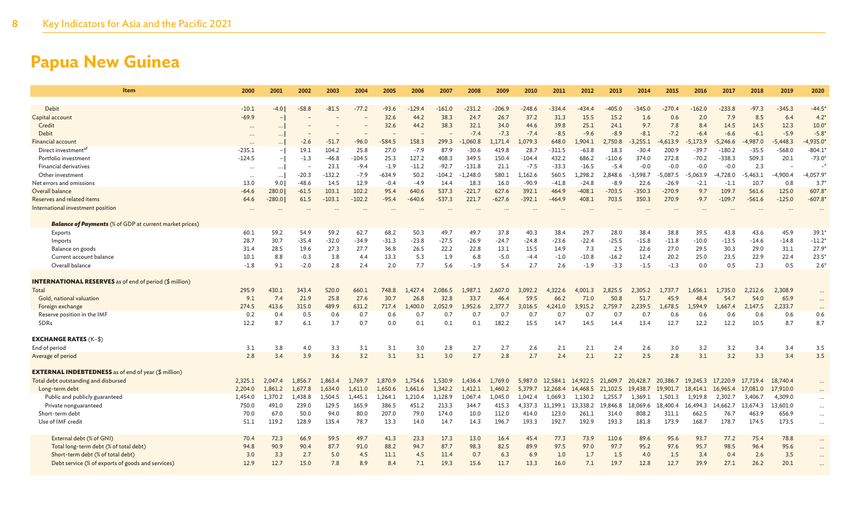| Item                                                                                   | 2000        | 2001        | 2002        | 2003       | 2004       | 2005        | 2006       | 2007         | 2008        | 2009        | 2010        | 2011        | 2012       | 2013        | 2014        | 2015        | 2016        | 2017        | 2018        | 2019        | 2020          |
|----------------------------------------------------------------------------------------|-------------|-------------|-------------|------------|------------|-------------|------------|--------------|-------------|-------------|-------------|-------------|------------|-------------|-------------|-------------|-------------|-------------|-------------|-------------|---------------|
| <b>Debit</b>                                                                           | $-10.1$     | $-4.0$      | $-58.8$     | $-81.5$    | $-77.2$    | $-93.6$     | $-129.4$   | $-161.0$     | $-231.2$    | $-206.9$    | $-248.6$    | $-334.4$    | $-434.4$   | $-405.0$    | $-345.0$    | $-270.4$    | $-162.0$    | $-233.8$    | $-97.3$     | $-345.3$    | $-44.5*$      |
| Capital account                                                                        | $-69.9$     |             |             |            |            | 32.6        | 44.2       | 38.3         | 24.7        | 26.7        | 37.2        | 31.3        | 15.5       | 15.2        | 1.6         | 0.6         | 2.0         | 7.9         | 8.5         | 6.4         | 4.2           |
| Credit                                                                                 | $\cdots$    |             |             |            |            | 32.6        | 44.2       | 38.3         | 32.1        | 34.0        | 44.6        | 39.8        | 25.1       | 24.1        | 9.7         | 7.8         | 8.4         | 14.5        | 14.5        | 12.3        | 10.0          |
| Debit                                                                                  | $\cdots$    |             |             |            |            |             |            |              | $-7.4$      | $-7.3$      | $-7.4$      | $-8.5$      | $-9.6$     | $-8.9$      | $-8.1$      | $-7.2$      | $-6.4$      | $-6.6$      | $-6.1$      | $-5.9$      | $-5.8$        |
| Financial account                                                                      |             |             | $-2.6$      | $-51.7$    | $-96.0$    | $-584.5$    | 158.3      | 299.3        | .060.8      | .171.4      | 1.079.3     | 648.0       | 1.904.1    | 2.750.8     | $-3.255.1$  | $-4,613.9$  | 173.9       | $-5.246.6$  | $-4,987.0$  | $-5.448.3$  | 4,935.0       |
| Direct investment <sup>af</sup>                                                        | $-235.1$    |             | 19.1        | 104.2      | 25.8       | 27.0        | $-7.9$     | 87.9         | $-30.6$     | 419.8       | 28.7        | $-311.5$    | $-63.8$    | 18.3        | $-30.4$     | 200.9       | $-39.7$     | $-180.2$    | $-35.5$     | $-568.0$    | $-804.1$      |
| Portfolio investment                                                                   | $-124.5$    | $-1$        | $-1.3$      | $-46.8$    | $-104.5$   | 25.3        | 127.2      | 408.3        | 349.5       | 150.4       | $-104.4$    | 432.2       | 686.2      | $-110.6$    | 374.0       | 272.8       | $-70.2$     | $-338.3$    | 509.3       | 20.1        | $-73.0$       |
| <b>Financial derivatives</b>                                                           | $\cdots$    | $\ldots$    |             | 23.1       | $-9.4$     | $-1.9$      | $-11.2$    | $-92.7$      | $-131.8$    | 21.1        | $-7.5$      | $-33.3$     | $-16.5$    | $-5.4$      | $-0.0$      | $-0.0$      | $-0.0$      | $-0.0$      | 2.3         |             |               |
| Other investment                                                                       | $\cdots$    | $\cdots$    | $-20.3$     | $-132.2$   | $-7.9$     | $-634.9$    | 50.2       | $-104.2$     | $-1,248.0$  | 580.1       | 1,162.6     | 560.5       | 1,298.2    | 2,848.6     | $-3,598.7$  | $-5,087.5$  | $-5,063.9$  | $-4,728.0$  | $-5,463.1$  | $-4,900.4$  | $-4,057.9$    |
| Net errors and omissions                                                               | 13.0        | 9.0         | $-48.6$     | 14.5       | 12.9       | $-0.4$      | $-4.9$     | 14.4         | 18.3        | 16.0        | $-90.9$     | $-41.8$     | $-24.8$    | $-8.9$      | 22.6        | $-26.9$     | $-2.1$      | $-1.1$      | 10.7        | 0.8         | $3.7^{\circ}$ |
| Overall balance                                                                        | -64.6       | 280.0       | $-61.5$     | 103.1      | 102.2      | 95.4        | 640.6      | 537.3        | $-221.7$    | 627.6       | 392.1       | 464.9       | $-408.1$   | $-703.5$    | $-350.3$    | $-270.9$    | 9.7         | 109.7       | 561.6       | 125.0       | 607.8         |
| Reserves and related items                                                             | 64.6        | $-280.0$    | 61.5        | $-103.1$   | $-102.2$   | $-95.4$     | $-640.6$   | $-537.3$     | 221.7       | $-627.6$    | $-392.1$    | $-464.9$    | 408.1      | 703.5       | 350.3       | 270.9       | $-9.7$      | $-109.7$    | $-561.6$    | $-125.0$    | $-607.8$      |
| International investment position                                                      | $\ddotsc$   |             |             |            |            |             |            |              |             |             |             |             |            |             |             |             |             |             |             |             |               |
|                                                                                        |             |             |             |            |            |             |            |              |             |             |             |             |            |             |             |             |             |             |             |             |               |
| <b>Balance of Payments</b> (% of GDP at current market prices)                         |             |             |             |            |            |             |            |              |             |             |             |             |            |             |             |             |             |             |             |             |               |
| Exports                                                                                | 60.1        | 59.2        | 54.9        | 59.2       | 62.7       | 68.2        | 50.3       | 49.7         | 49.7        | 37.8        | 40.3        | 38.4        | 29.7       | 28.0        | 38.4        | 38.8        | 39.5        | 43.8        | 43.6        | 45.9        | 39.1          |
| Imports                                                                                | 28.7        | 30.7        | $-35.4$     | $-32.0$    | $-34.9$    | $-31.3$     | $-23.8$    | $-27.5$      | $-26.9$     | $-24.7$     | $-24.8$     | $-23.6$     | $-22.4$    | $-25.5$     | $-15.8$     | $-11.8$     | $-10.0$     | $-13.5$     | $-14.6$     | $-14.8$     | $-11.2$       |
| Balance on goods                                                                       | 31.4        | 28.5        | 19.6        | 27.3       | 27.7       | 36.8        | 26.5       | 22.2         | 22.8        | 13.1        | 15.5        | 14.9        | 7.3        | 2.5         | 22.6        | 27.0        | 29.5        | 30.3        | 29.0        | 31.1        | 27.9          |
| Current account balance                                                                | 10.1        | 8.8         | $-0.3$      | 3.8        | 4.4        | 13.3        | 5.3        | 1.9          | 6.8         | $-5.0$      | $-4.4$      | $-1.0$      | $-10.8$    | $-16.2$     | 12.4        | 20.2        | 25.0        | 23.5        | 22.9        | 22.4        | $23.5*$       |
| Overall balance                                                                        | $-1.8$      | 9.1         | $-2.0$      | 2.8        | 2.4        | 2.0         | 7.7        | 5.6          | $-1.9$      | 5.4         | 2.7         | 2.6         | $-1.9$     | $-3.3$      | $-1.5$      | $-1.3$      | 0.0         | 0.5         | 2.3         | 0.5         | $2.6*$        |
|                                                                                        |             |             |             |            |            |             |            |              |             |             |             |             |            |             |             |             |             |             |             |             |               |
| <b>INTERNATIONAL RESERVES</b> as of end of period (\$ million)                         |             |             |             |            |            |             |            |              |             |             |             |             |            |             |             |             |             |             |             |             |               |
| Total                                                                                  | 295.9       | 430.1       | 343.4       | 520.0      | 660.1      | 748.8       | 1.427.4    | 2.086.5      | 1.987.1     | 2.607.0     | 3.092.2     | 4.322.6     | 4.001.3    | 2.825.5     | 2.305.2     | 1,737.7     | 1.656.1     | 1.735.0     | 2.212.6     | 2,308.9     | $\cdots$      |
| Gold, national valuation                                                               | 9.1         | 7.4         | 21.9        | 25.8       | 27.6       | 30.7        | 26.8       | 32.8         | 33.7        | 46.4        | 59.5        | 66.2        | 71.0       | 50.8        | 51.7        | 45.9        | 48.4        | 54.7        | 54.0        | 65.9        | $\cdots$      |
| Foreign exchange                                                                       | 274.5       | 413.6       | 315.0       | 489.9      | 631.2      | 717.4       | 400.0      | 2,052.9      | 1.952.6     | 2.377.7     | 3.016.5     | 4,241.0     | 3.915.2    | 2.759.7     | 2.239.5     | .678.5      | 1.594.9     | 1.667.4     | 2,147.5     | 2,233.7     | $\cdots$      |
| Reserve position in the IMF                                                            | 0.2         | 0.4         | 0.5         | 0.6        | 0.7        | 0.6         | 0.7        | 0.7          | 0.7         | 0.7         | 0.7         | 0.7         | 0.7        | 0.7         | 0.7         | 0.6         | 0.6         | 0.6         | 0.6         | 0.6         | 0.6           |
| <b>SDRs</b>                                                                            | 12.2        | 8.7         | 6.1         | 3.7        | 0.7        | 0.0         | 0.1        | 0.1          | 0.1         | 182.2       | 15.5        | 14.7        | 14.5       | 14.4        | 13.4        | 12.7        | 12.2        | 12.2        | 10.5        | 8.7         | 8.7           |
|                                                                                        |             |             |             |            |            |             |            |              |             |             |             |             |            |             |             |             |             |             |             |             |               |
| <b>EXCHANGE RATES (K-\$)</b>                                                           |             |             |             |            |            |             |            |              |             |             |             |             |            |             |             |             |             |             |             |             |               |
| End of period                                                                          | 3.1         | 3.8         | 4.0         | 3.3        | 3.1        | 3.1         | 3.0        | 2.8          | 2.7         | 2.7         | 2.6         | 2.1         | 2.1        | 2.4         | 2.6         | 3.0         | 3.2         | 3.2         | 3.4         | 3.4         | 3.5           |
| Average of period                                                                      | 2.8         | 3.4         | 3.9         | 3.6        | 3.2        | 3.1         | 3.1        | 3.0          | 2.7         | 2.8         | 2.7         | 2.4         | 2.1        | 2.2         | 2.5         | 2.8         | 3.1         | 3.2         | 3.3         | 3.4         | 3.5           |
|                                                                                        |             |             |             |            |            |             |            |              |             |             |             |             |            |             |             |             |             |             |             |             |               |
| <b>EXTERNAL INDEBTEDNESS</b> as of end of year (\$ million)                            |             |             |             |            |            |             |            |              |             |             |             |             |            |             |             |             |             |             |             |             |               |
| Total debt outstanding and disbursed                                                   | 2,325.1     | 2,047.4     | 1,856.7     | 1,863.4    | 1,769.7    | 1,870.9     | 1,754.6    | 1,530.9      | 1,436.4     | 1,769.0     | 5,987.0     | 12,584.1    | 14,922.5   | 21,609.7    | 20,428.7    | 20,386.7    | 19,245.3    | 17,220.9    | 17,719.4    | 18,740.4    |               |
| Long-term debt                                                                         | 2,204.0     | 1.861.2     | 1.677.8     | 1.634.0    | 1.611.0    | 1,650.6     | 1,661.6    | 1,342.2      | 1.412.1     | 1,460.2     | 5,379.7     | 12.268.4    | 14,468.5   | 21,102.5    | 19,438.7    | 19,901.7    | 18,414.1    | 16,965.4    | 17,081.0    | 17,910.0    |               |
| Public and publicly guaranteed                                                         | 1,454.0     | 1,370.2     | 1,438.8     | 1,504.5    | 1,445.1    | 1,264.1     | 1,210.4    | 1,128.9      | 1,067.4     | 1,045.0     | 1,042.4     | 1,069.3     | 1,130.2    | 1,255.7     | 1,369.1     | 1,501.3     | 1,919.8     | 2,302.7     | 3,406.7     | 4,309.0     | $\cdots$      |
| Private nonguaranteed                                                                  | 750.0       | 491.0       | 239.0       | 129.5      | 165.9      | 386.5       | 451.2      | 213.3        | 344.7       | 415.3       | 4,337.3     | 11,199.1    | 13,338.2   | 19,846.8    | 18,069.6    | 18,400.4    | 16,494.3    | 14,662.7    | 13,674.3    | 13,601.0    | $\cdots$      |
| Short-term debt                                                                        | 70.0        | 67.0        | 50.0        | 94.0       | 80.0       | 207.0       | 79.0       | 174.0        | 10.0        | 112.0       | 414.0       | 123.0       | 261.1      | 314.0       | 808.2       | 311.1       | 662.5       | 76.7        | 463.9       | 656.9       | $\cdots$      |
| Use of IMF credit                                                                      | 51.1        | 119.2       | 128.9       | 135.4      | 78.7       | 13.3        | 14.0       | 14.7         | 14.3        | 196.7       | 193.3       | 192.7       | 192.9      | 193.3       | 181.8       | 173.9       | 168.7       | 178.7       | 174.5       | 173.5       | $\cdots$      |
|                                                                                        |             |             |             |            |            |             |            |              |             |             |             |             |            |             |             |             |             |             |             |             |               |
| External debt (% of GNI)                                                               | 70.4        | 72.3        | 66.9        | 59.5       | 49.7       | 41.3        | 23.3       | 17.3         | 13.0        | 16.4        | 45.4        | 77.3        | 73.9       | 110.6       | 89.6        | 95.6        | 93.7        | 77.2        | 75.4        | 78.8        | $\cdots$      |
| Total long-term debt (% of total debt)                                                 | 94.8        | 90.9        | 90.4        | 87.7       | 91.0       | 88.2        | 94.7       | 87.7         | 98.3        | 82.5        | 89.9        | 97.5        | 97.0       | 97.7        | 95.2        | 97.6        | 95.7        | 98.5        | 96.4        | 95.6        | $\cdots$      |
| Short-term debt (% of total debt)<br>Debt service (% of exports of goods and services) | 3.0<br>12.9 | 3.3<br>12.7 | 2.7<br>15.0 | 5.0<br>7.8 | 4.5<br>8.9 | 11.1<br>8.4 | 4.5<br>7.1 | 11.4<br>19.3 | 0.7<br>15.6 | 6.3<br>11.7 | 6.9<br>13.3 | 1.0<br>16.0 | 1.7<br>7.1 | 1.5<br>19.7 | 4.0<br>12.8 | 1.5<br>12.7 | 3.4<br>39.9 | 0.4<br>27.1 | 2.6<br>26.2 | 3.5<br>20.1 | $\cdots$      |
|                                                                                        |             |             |             |            |            |             |            |              |             |             |             |             |            |             |             |             |             |             |             |             |               |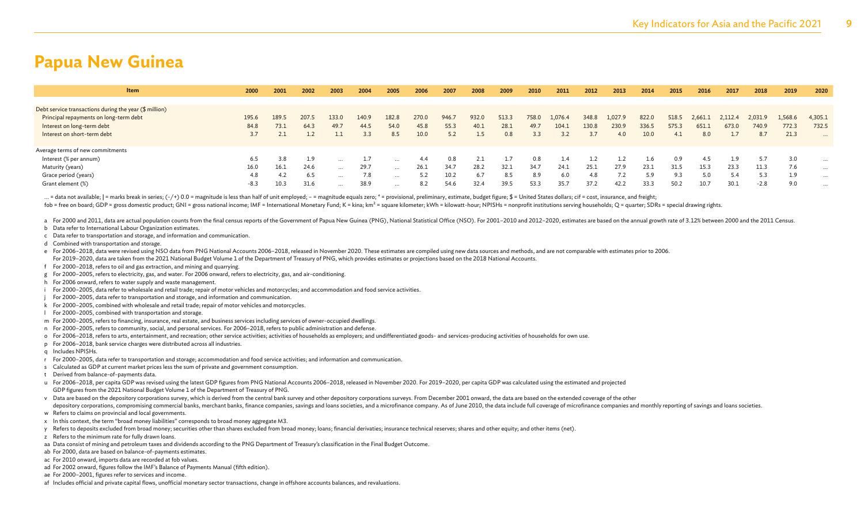| <b>Item</b>                                                        | 2000   | 2001  | 2002  | 2003     | 2004  | 2005     | 2006  | 2007  | 2008  | 2009  | 2010  | 2011    | 2012  | 2013    | 2014  | 2015  | 2016    | 2017    | 2018    | 2019    | 2020     |
|--------------------------------------------------------------------|--------|-------|-------|----------|-------|----------|-------|-------|-------|-------|-------|---------|-------|---------|-------|-------|---------|---------|---------|---------|----------|
|                                                                    |        |       |       |          |       |          |       |       |       |       |       |         |       |         |       |       |         |         |         |         |          |
| Debt service transactions during the year $(\frac{4}{3})$ million) |        |       |       |          |       |          |       |       |       |       |       |         |       |         |       |       |         |         |         |         |          |
| Principal repayments on long-term debt                             | 195.6  | 189.5 | 207.5 | 133.0    | 140.9 | 182.8    | 270.0 | 946.7 | 932.0 | 513.3 | 758.0 | 1,076.4 | 348.8 | 1,027.9 | 822.0 | 518.5 | 2,661.1 | 2,112.4 | 2,031.9 | 1,568.6 | 4,305.1  |
| Interest on long-term debt                                         | 84.8   | 73.1  | 64.3  | 49.7     | 44.5  | 54.0     | 45.8  | 55.3  | 40.1  | 28.1  | 49.7  | 104.1   | 130.8 | 230.9   | 336.5 | 575.3 | 651     | 673.0   | 740.9   | 772.3   | 732.5    |
| Interest on short-term debt                                        | 3.7    |       |       |          | 3.3   | 8.5      | 10.0  | 5.2   | 1.5   | 0.8   | 3.3   | 3.2     | 3.7   | 4.0     | 10.0  | 4.1   | 8.0     | 1.7     | 8.7     | 21.3    | $\cdots$ |
|                                                                    |        |       |       |          |       |          |       |       |       |       |       |         |       |         |       |       |         |         |         |         |          |
| Average terms of new commitments                                   |        |       |       |          |       |          |       |       |       |       |       |         |       |         |       |       |         |         |         |         |          |
| Interest (% per annum)                                             | 6.5    | 3.8   | 1.9   | $\cdots$ |       |          | 4.4   | 0.8   |       |       | 0.8   | 1.4     |       |         |       | 0.9   | 4.5     | 1.9     | 5.7     | 3.0     | $\cdots$ |
| Maturity (years)                                                   | 16.0   | 16.1  | 24.6  | $\cdots$ | 29.7  | $\cdots$ | 26.1  | 34.7  | 28.2  | 32.1  | 34.7  | 24.1    | 25.1  | 27.9    | 23.1  | 31.5  | 15.3    | 23.3    | 11.3    | 7.6     | $\cdots$ |
| Grace period (years)                                               | 4.8    | 4.2   | 6.5   | $\cdots$ | 7.8   | $\cdots$ |       | 10.2  | 6.7   | 8.5   | 8.9   | 6.0     | 4.8   |         | 5.9   | 9.3   | 5.0     | 5.4     | 5.3     | 1.9     | $\cdots$ |
| Grant element (%)                                                  | $-8.3$ | 10.3  | 31.6  | $\cdots$ | 38.9  | $\cdots$ | 8.2   | 54.6  | 32.4  | 39.5  | 53.3  | 35.7    | 37.2  | 42.2    | 33.3  | 50.2  | 10.7    | 30.1    | $-2.8$  | 9.0     | $\cdots$ |

... = data not available; | = marks break in series; (-/+) 0.0 = magnitude is less than half of unit employed; - = magnitude equals zero; \* = provisional, preliminary, estimate, budget figure; \$ = United States dollars; ci fob = free on board; GDP = gross domestic product; GNI = gross national income; IMF = International Monetary Fund; K = kina; km<sup>2</sup> = square kilometer; kWh = kilowatt-hour; NPISHs = nonprofit institutions serving households

a For 2000 and 2011, data are actual population counts from the final census reports of the Government of Papua New Guinea (PNG), National Statistical Office (NSO). For 2001-2010 and 2012-2020, estimates are based on the a

- b Data refer to International Labour Organization estimates.
- c Data refer to transportation and storage, and information and communication.
- d Combined with transportation and storage.

e For 2006-2018, data were revised using NSO data from PNG National Accounts 2006-2018, released in November 2020. These estimates are compiled using new data sources and methods, and are not comparable with estimates prio For 2019–2020, data are taken from the 2021 National Budget Volume 1 of the Department of Treasury of PNG, which provides estimates or projections based on the 2018 National Accounts.

- f For 2000–2018, refers to oil and gas extraction, and mining and quarrying.
- g For 2000–2005, refers to electricity, gas, and water. For 2006 onward, refers to electricity, gas, and air-conditioning.
- h For 2006 onward, refers to water supply and waste management.
- i For 2000–2005, data refer to wholesale and retail trade; repair of motor vehicles and motorcycles; and accommodation and food service activities.
- For 2000–2005, data refer to transportation and storage, and information and communication.
- k For 2000–2005, combined with wholesale and retail trade; repair of motor vehicles and motorcycles.
- l For 2000–2005, combined with transportation and storage.
- m For 2000–2005, refers to financing, insurance, real estate, and business services including services of owner-occupied dwellings.
- n For 2000–2005, refers to community, social, and personal services. For 2006–2018, refers to public administration and defense.
- o For 2006–2018, refers to arts, entertainment, and recreation; other service activities; activities of households as employers; and undifferentiated goods- and services-producing activities of households for own use.
- p For 2006–2018, bank service charges were distributed across all industries.
- q Includes NPISHs.
- r For 2000–2005, data refer to transportation and storage; accommodation and food service activities; and information and communication.
- s Calculated as GDP at current market prices less the sum of private and government consumption.
- t Derived from balance-of-payments data.

u For 2006–2018, per capita GDP was revised using the latest GDP figures from PNG National Accounts 2006–2018, released in November 2020. For 2019–2020, per capita GDP was calculated using the estimated and projected GDP figures from the 2021 National Budget Volume 1 of the Department of Treasury of PNG.

- v Data are based on the depository corporations survey, which is derived from the central bank survey and other depository corporations surveys. From December 2001 onward, the data are based on the extended coverage of the
- depository corporations, compromising commercial banks, merchant banks, finance companies, savings and loans societies, and a microfinance company. As of June 2010, the data include full coverage of microfinance companies w Refers to claims on provincial and local governments.
- x In this context, the term "broad money liabilities" corresponds to broad money aggregate M3.
- y Refers to deposits excluded from broad money; securities other than shares excluded from broad money; loans; financial derivaties; insurance technical reserves; shares and other equity; and other items (net).
- z Refers to the minimum rate for fully drawn loans.
- aa Data consist of mining and petroleum taxes and dividends according to the PNG Department of Treasury's classification in the Final Budget Outcome.
- ab For 2000, data are based on balance-of-payments estimates.
- ac For 2010 onward, imports data are recorded at fob values.
- ad For 2002 onward, figures follow the IMF's Balance of Payments Manual (fifth edition).
- ae For 2000–2001, figures refer to services and income.
- af Includes official and private capital flows, unofficial monetary sector transactions, change in offshore accounts balances, and revaluations.